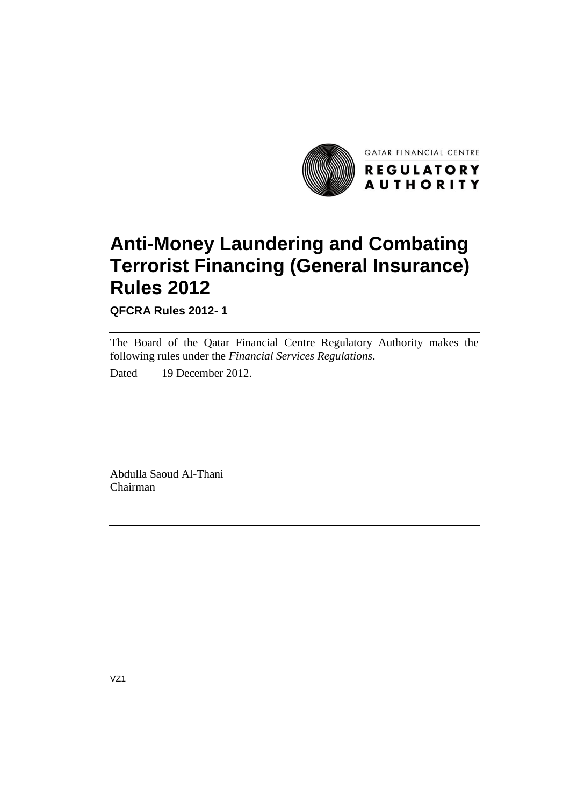

# **Anti-Money Laundering and Combating Terrorist Financing (General Insurance) Rules 2012**

**QFCRA Rules 2012- 1** 

The Board of the Qatar Financial Centre Regulatory Authority makes the following rules under the *Financial Services Regulations*.

Dated 19 December 2012.

Abdulla Saoud Al-Thani Chairman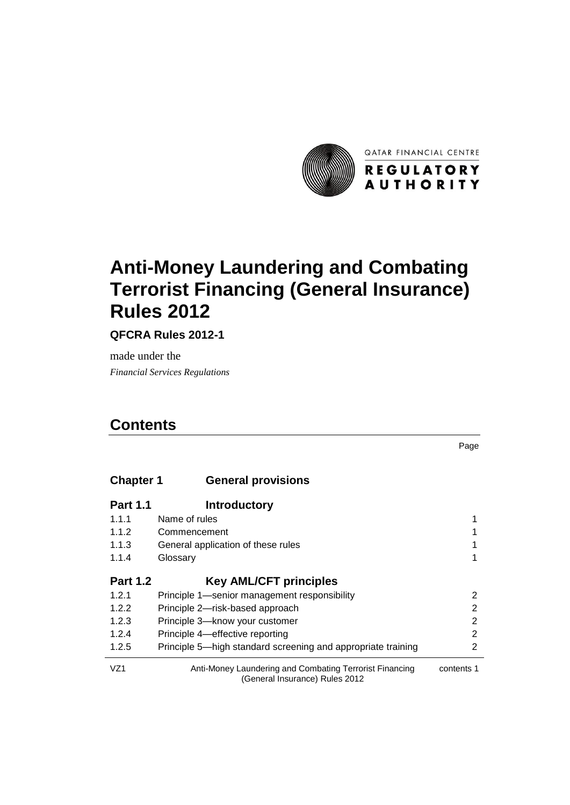

# **Anti-Money Laundering and Combating Terrorist Financing (General Insurance) Rules 2012**

**QFCRA Rules 2012-1**

made under the *7TFinancial Services Regulations*

# *4T***Contents**

Page

| <b>Chapter 1</b> | <b>General provisions</b>                    |   |
|------------------|----------------------------------------------|---|
| <b>Part 1.1</b>  | <b>Introductory</b>                          |   |
| 1.1.1            | Name of rules                                |   |
| 1.1.2            | Commencement                                 |   |
| 1.1.3            | General application of these rules           |   |
| 1.1.4            | Glossary                                     | 1 |
| <b>Part 1.2</b>  | <b>Key AML/CFT principles</b>                |   |
| 1.2.1            | Principle 1—senior management responsibility |   |

| 1.2.1           | Principle 1—senior management responsibility                 |            |
|-----------------|--------------------------------------------------------------|------------|
| 1.2.2           | Principle 2—risk-based approach                              |            |
| 1.2.3           | Principle 3-know your customer                               |            |
| 1.2.4           | Principle 4—effective reporting                              |            |
| 1.2.5           | Principle 5—high standard screening and appropriate training |            |
| VZ <sub>1</sub> | Anti-Money Laundering and Combating Terrorist Financing      | contents 1 |

(General Insurance) Rules 2012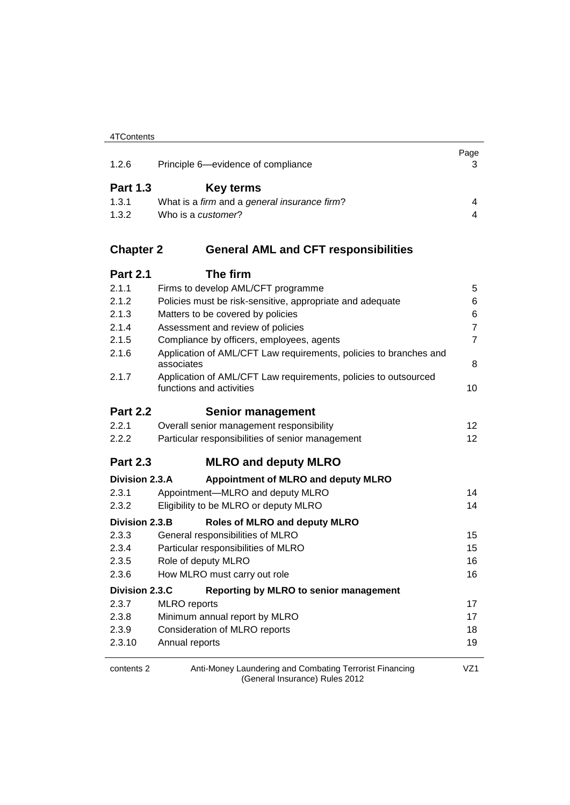|                  |                                                                   | Page           |
|------------------|-------------------------------------------------------------------|----------------|
| 1.2.6            | Principle 6-evidence of compliance                                | 3              |
| <b>Part 1.3</b>  | <b>Key terms</b>                                                  |                |
| 1.3.1            | What is a firm and a general insurance firm?                      | 4              |
| 1.3.2            | Who is a customer?                                                | 4              |
| <b>Chapter 2</b> | <b>General AML and CFT responsibilities</b>                       |                |
| <b>Part 2.1</b>  | The firm                                                          |                |
| 2.1.1            | Firms to develop AML/CFT programme                                | 5              |
| 2.1.2            | Policies must be risk-sensitive, appropriate and adequate         | 6              |
| 2.1.3            | Matters to be covered by policies                                 | 6              |
| 2.1.4            | Assessment and review of policies                                 | $\overline{7}$ |
| 2.1.5            | Compliance by officers, employees, agents                         | $\overline{7}$ |
| 2.1.6            | Application of AML/CFT Law requirements, policies to branches and |                |
|                  | associates                                                        | 8              |
| 2.1.7            | Application of AML/CFT Law requirements, policies to outsourced   |                |
|                  | functions and activities                                          | 10             |
| <b>Part 2.2</b>  | <b>Senior management</b>                                          |                |
| 2.2.1            | Overall senior management responsibility                          | 12             |
| 2.2.2            | Particular responsibilities of senior management                  | 12             |
| <b>Part 2.3</b>  | <b>MLRO and deputy MLRO</b>                                       |                |
| Division 2.3.A   | Appointment of MLRO and deputy MLRO                               |                |
| 2.3.1            | Appointment-MLRO and deputy MLRO                                  | 14             |
| 2.3.2            | Eligibility to be MLRO or deputy MLRO                             | 14             |
| Division 2.3.B   | <b>Roles of MLRO and deputy MLRO</b>                              |                |
| 2.3.3            | General responsibilities of MLRO                                  | 15             |
| 2.3.4            | Particular responsibilities of MLRO                               | 15             |
| 2.3.5            | Role of deputy MLRO                                               | 16             |
| 2.3.6            | How MLRO must carry out role                                      | 16             |
| Division 2.3.C   | Reporting by MLRO to senior management                            |                |
| 2.3.7            | <b>MLRO</b> reports                                               | 17             |
| 2.3.8            | Minimum annual report by MLRO                                     | 17             |
| 2.3.9            | Consideration of MLRO reports                                     | 18             |
| 2.3.10           | Annual reports                                                    | 19             |
| contents 2       | Anti-Money Laundering and Combating Terrorist Financing           | VZ1            |

(General Insurance) Rules 2012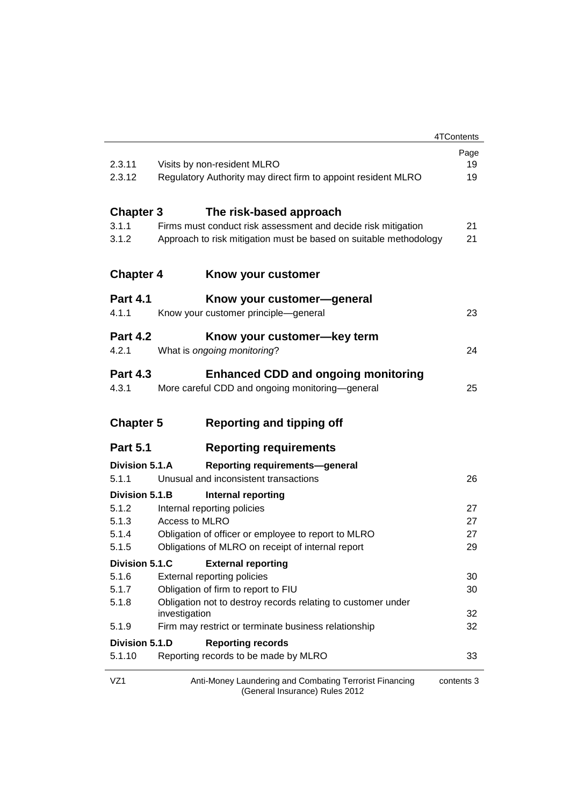|                  |                                                                                           | 4TContents |
|------------------|-------------------------------------------------------------------------------------------|------------|
|                  |                                                                                           | Page       |
| 2.3.11           | Visits by non-resident MLRO                                                               | 19         |
| 2.3.12           | Regulatory Authority may direct firm to appoint resident MLRO                             | 19         |
| <b>Chapter 3</b> | The risk-based approach                                                                   |            |
| 3.1.1            | Firms must conduct risk assessment and decide risk mitigation                             | 21         |
| 3.1.2            | Approach to risk mitigation must be based on suitable methodology                         | 21         |
| <b>Chapter 4</b> | Know your customer                                                                        |            |
| <b>Part 4.1</b>  | Know your customer—general                                                                |            |
| 4.1.1            | Know your customer principle-general                                                      | 23         |
| <b>Part 4.2</b>  | Know your customer—key term                                                               |            |
| 4.2.1            | What is ongoing monitoring?                                                               | 24         |
| <b>Part 4.3</b>  | <b>Enhanced CDD and ongoing monitoring</b>                                                |            |
| 4.3.1            | More careful CDD and ongoing monitoring-general                                           | 25         |
| <b>Chapter 5</b> | <b>Reporting and tipping off</b>                                                          |            |
| <b>Part 5.1</b>  | <b>Reporting requirements</b>                                                             |            |
| Division 5.1.A   | <b>Reporting requirements-general</b>                                                     |            |
| 5.1.1            | Unusual and inconsistent transactions                                                     | 26         |
| Division 5.1.B   | <b>Internal reporting</b>                                                                 |            |
| 5.1.2            | Internal reporting policies                                                               | 27         |
| 5.1.3            | Access to MLRO                                                                            | 27         |
| 5.1.4            | Obligation of officer or employee to report to MLRO                                       | 27         |
| 5.1.5            | Obligations of MLRO on receipt of internal report                                         | 29         |
|                  | Division 5.1.C External reporting                                                         |            |
| 5.1.6            | External reporting policies                                                               | 30         |
| 5.1.7            | Obligation of firm to report to FIU                                                       | 30         |
| 5.1.8            | Obligation not to destroy records relating to customer under<br>investigation             | 32         |
| 5.1.9            | Firm may restrict or terminate business relationship                                      | 32         |
| Division 5.1.D   | <b>Reporting records</b>                                                                  |            |
| 5.1.10           | Reporting records to be made by MLRO                                                      | 33         |
| VZ1              | Anti-Money Laundering and Combating Terrorist Financing<br>(General Insurance) Rules 2012 | contents 3 |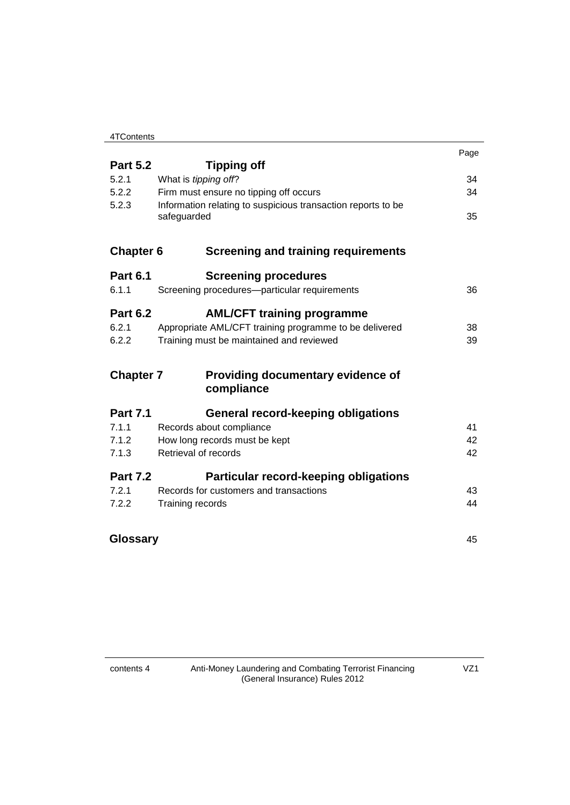| 4TContents |  |
|------------|--|
|            |  |

|                  |                                                              | Page |
|------------------|--------------------------------------------------------------|------|
| <b>Part 5.2</b>  | <b>Tipping off</b>                                           |      |
| 5.2.1            | What is tipping off?                                         | 34   |
| 5.2.2            | Firm must ensure no tipping off occurs                       | 34   |
| 5.2.3            | Information relating to suspicious transaction reports to be |      |
|                  | safeguarded                                                  | 35   |
| <b>Chapter 6</b> | <b>Screening and training requirements</b>                   |      |
| <b>Part 6.1</b>  | <b>Screening procedures</b>                                  |      |
| 6.1.1            | Screening procedures-particular requirements                 | 36   |
| <b>Part 6.2</b>  |                                                              |      |
| 6.2.1            | <b>AML/CFT training programme</b>                            | 38   |
|                  | Appropriate AML/CFT training programme to be delivered       |      |
| 6.2.2            | Training must be maintained and reviewed                     | 39   |
| <b>Chapter 7</b> | Providing documentary evidence of                            |      |
|                  | compliance                                                   |      |
| <b>Part 7.1</b>  | General record-keeping obligations                           |      |
| 7.1.1            | Records about compliance                                     | 41   |
| 7.1.2            | How long records must be kept                                | 42   |
| 7.1.3            | Retrieval of records                                         | 42   |
| <b>Part 7.2</b>  | <b>Particular record-keeping obligations</b>                 |      |
| 7.2.1            | Records for customers and transactions                       | 43   |
| 7.2.2            | Training records                                             | 44   |
|                  |                                                              |      |
| Glossary         |                                                              | 45   |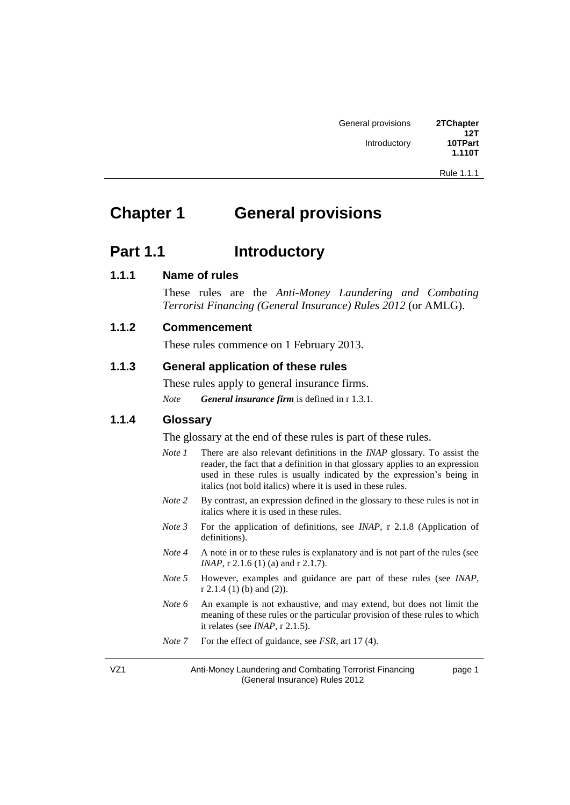Rule 1.1.1

page 1

# **2Thapter 1 3Thapter 1 3Thapter 1 3Thapter 1 3Thapter 1 3Thapter 1 3Thapter 1 3Thapter 1 3Thapter 1 3Thapter 1 3Thapter 1 3Thapter 1 3Thapter 1 3Thapter 1 3Thapter 1 3Thapter 1 3Thapter 1**

### **Part 1.1 Introductory**

#### **1.1.1 Name of rules**

These rules are the *Anti-Money Laundering and Combating Terrorist Financing (General Insurance) Rules 2012 (or AMLG).* 

#### **1.1.2 Commencement**

These rules commence on 1 February 2013.

#### **1.1.3 General application of these rules**

These rules apply to general insurance firms. *Note General insurance firm* is defined in r 1.3.1.

#### **1.1.4 Glossary**

The glossary at the end of these rules is part of these rules.

- *Note 1* There are also relevant definitions in the *INAP* glossary. To assist the reader, the fact that a definition in that glossary applies to an expression used in these rules is usually indicated by the expression's being in italics (not bold italics) where it is used in these rules.
- *Note 2* By contrast, an expression defined in the glossary to these rules is not in italics where it is used in these rules.
- *Note 3* For the application of definitions, see *INAP*, r 2.1.8 (Application of definitions).
- *Note 4* A note in or to these rules is explanatory and is not part of the rules (see *INAP*, r 2.1.6 (1) (a) and r 2.1.7).
- *Note 5* However, examples and guidance are part of these rules (see *INAP*, r 2.1.4 (1) (b) and (2)).
- *Note* 6 An example is not exhaustive, and may extend, but does not limit the meaning of these rules or the particular provision of these rules to which it relates (see *INAP*, r 2.1.5).
- *Note* 7 For the effect of guidance, see *FSR*, art 17 (4).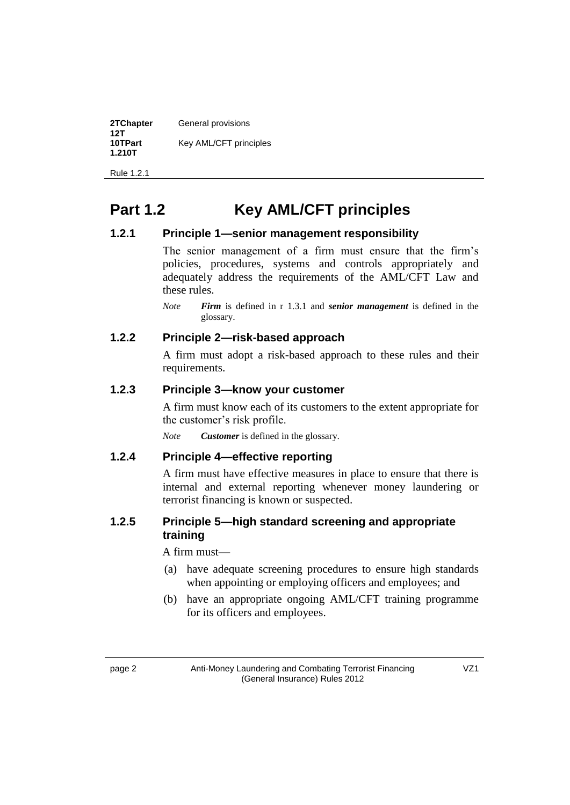| 2TChapter<br>12T  | General provisions     |
|-------------------|------------------------|
| 10TPart<br>1.210T | Key AML/CFT principles |

Rule 1.2.1

# **Part 1.2 10TP Key AML/CFT** principles

#### **1.2.1 Principle 1—senior management responsibility**

The senior management of a firm must ensure that the firm's policies, procedures, systems and controls appropriately and adequately address the requirements of the AML/CFT Law and these rules.

*Note Firm* is defined in r 1.3.1 and *senior management* is defined in the glossary.

### **1.2.2 Principle 2—risk-based approach**

A firm must adopt a risk-based approach to these rules and their requirements.

### **1.2.3 Principle 3—know your customer**

A firm must know each of its customers to the extent appropriate for the customer's risk profile.

*Note Customer* is defined in the glossary.

### **1.2.4 Principle 4—effective reporting**

A firm must have effective measures in place to ensure that there is internal and external reporting whenever money laundering or terrorist financing is known or suspected.

### **1.2.5 Principle 5—high standard screening and appropriate training**

A firm must—

- (a) have adequate screening procedures to ensure high standards when appointing or employing officers and employees; and
- (b) have an appropriate ongoing AML/CFT training programme for its officers and employees.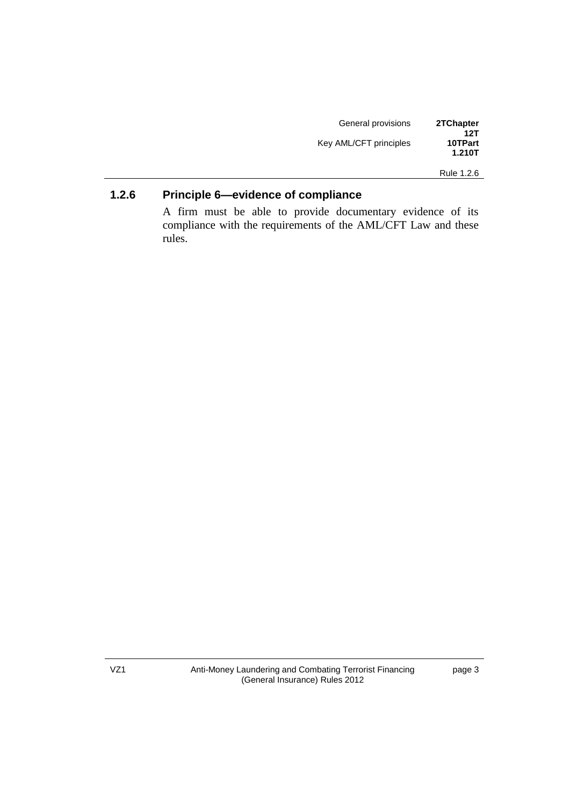| General provisions     | 2TChapter      |
|------------------------|----------------|
| Key AML/CFT principles | 12T<br>10TPart |
|                        | 1.210T         |

Rule 1.2.6

### **1.2.6 Principle 6—evidence of compliance**

A firm must be able to provide documentary evidence of its compliance with the requirements of the AML/CFT Law and these rules.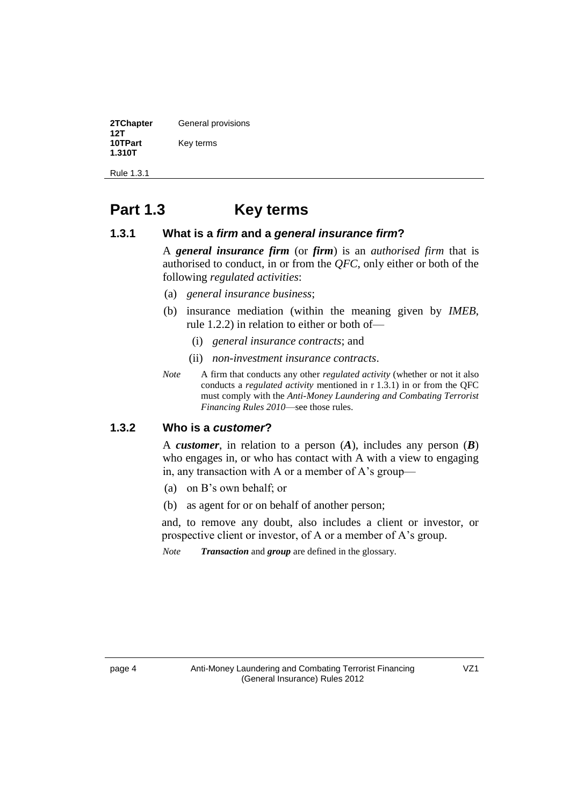| 2TChapter<br>12T  | General provisions |
|-------------------|--------------------|
| 10TPart<br>1.310T | Key terms          |

Rule 1.3.1

# **Part 1.3 Key terms**

#### **1.3.1 What is a** *firm* **and a** *general insurance firm***?**

A **general insurance firm** (or **firm**) is an *authorised firm* that is authorised to conduct, in or from the *QFC*, only either or both of the following *regulated activities*:

- (a) *general insurance business*;
- (b) insurance mediation (within the meaning given by *IMEB*, rule 1.2.2) in relation to either or both of—
	- (i) *general insurance contracts*; and
	- (ii) *non-investment insurance contracts*.
- *Note* A firm that conducts any other *regulated activity* (whether or not it also conducts a *regulated activity* mentioned in r 1.3.1*f* in or from the QFC must comply with the *Anti-Money Laundering and Combating Terrorist Financing Rules 2010*—see those rules.

#### **1.3.2 Who is a** *customer***?**

A *customer*, in relation to a person  $(A)$ , includes any person  $(B)$ who engages in, or who has contact with A with a view to engaging in, any transaction with A or a member of A's group—

- (a) on B's own behalf; or
- (b) as agent for or on behalf of another person;

and, to remove any doubt, also includes a client or investor, or prospective client or investor, of A or a member of A's group.

*Note Transaction* and *group* are defined in the glossary.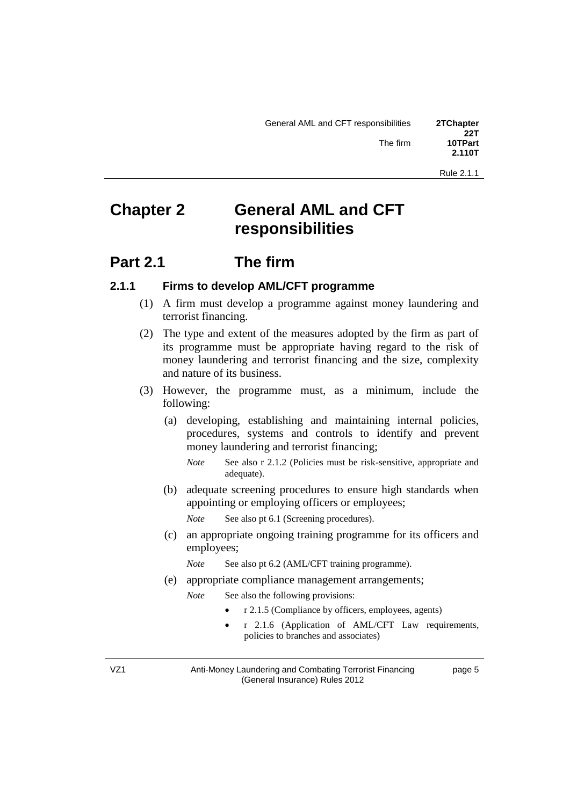# **2The Stephend AML and CFT responsibilities**

### **Part 2.1 The firm**

#### **2.1.1 Firms to develop AML/CFT programme**

- (1) A firm must develop a programme against money laundering and terrorist financing.
- (2) The type and extent of the measures adopted by the firm as part of its programme must be appropriate having regard to the risk of money laundering and terrorist financing and the size, complexity and nature of its business.
- (3) However, the programme must, as a minimum, include the following:
	- (a) developing, establishing and maintaining internal policies, procedures, systems and controls to identify and prevent money laundering and terrorist financing;
		- *Note* See also r 2.1.2 (Policies must be risk-sensitive, appropriate and adequate).
	- (b) adequate screening procedures to ensure high standards when appointing or employing officers or employees;
		- *Note See also pt 6.1 (Screening procedures).*
	- (c) an appropriate ongoing training programme for its officers and employees;
		- *Note* See also pt 6.2 (AML/CFT training programme).
	- (e) appropriate compliance management arrangements;
		- *Note* See also the following provisions:
			- r 2.1.5 (Compliance by officers, employees, agents)
			- r 2.1.6 (Application of AML/CFT Law requirements, policies to branches and associates)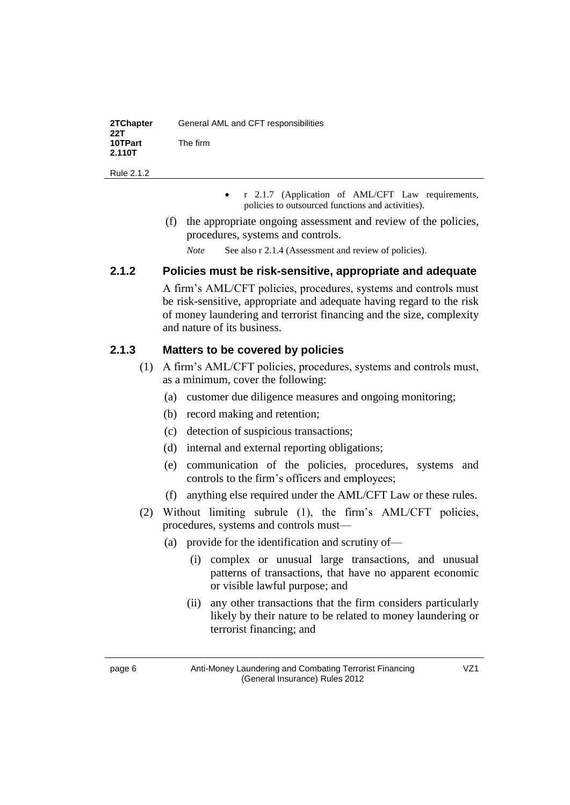| 2TChapter<br>22T  | General AML and CFT responsibilities |
|-------------------|--------------------------------------|
| 10TPart<br>2.110T | The firm                             |

- r 2.1.7 (Application of AML/CFT Law requirements, policies to outsourced functions and activities).
- (f) the appropriate ongoing assessment and review of the policies, procedures, systems and controls.
	- *Note* See also r 2.1.4 (Assessment and review of policies).

### **2.1.2 Policies must be risk-sensitive, appropriate and adequate**

A firm's AML/CFT policies, procedures, systems and controls must be risk-sensitive, appropriate and adequate having regard to the risk of money laundering and terrorist financing and the size, complexity and nature of its business.

### **2.1.3 Matters to be covered by policies**

- (1) A firm's AML/CFT policies, procedures, systems and controls must, as a minimum, cover the following:
	- (a) customer due diligence measures and ongoing monitoring;
	- (b) record making and retention;
	- (c) detection of suspicious transactions;
	- (d) internal and external reporting obligations;
	- (e) communication of the policies, procedures, systems and controls to the firm's officers and employees;
	- (f) anything else required under the AML/CFT Law or these rules.
- (2) Without limiting subrule (1), the firm's AML/CFT policies, procedures, systems and controls must—
	- (a) provide for the identification and scrutiny of—
		- (i) complex or unusual large transactions, and unusual patterns of transactions, that have no apparent economic or visible lawful purpose; and
		- (ii) any other transactions that the firm considers particularly likely by their nature to be related to money laundering or terrorist financing; and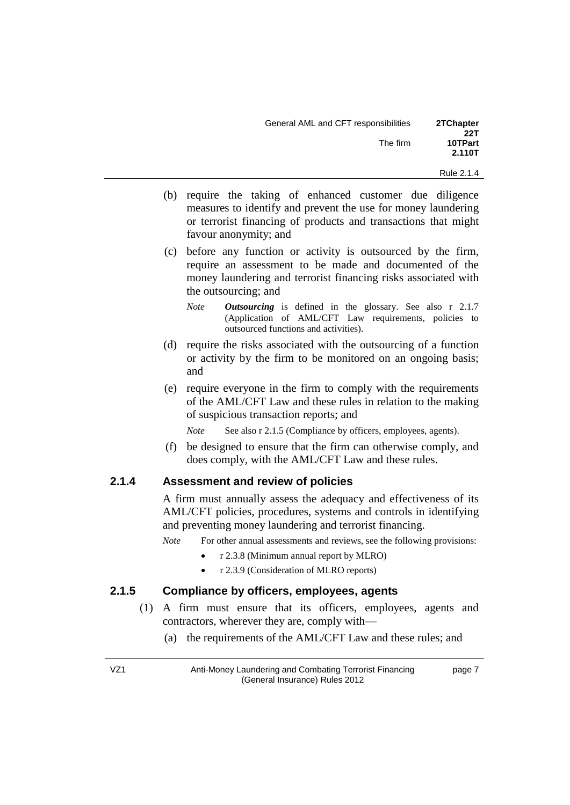| General AML and CFT responsibilities | 2TChapter<br>22T  |
|--------------------------------------|-------------------|
| The firm                             | 10TPart<br>2.110T |

- (b) require the taking of enhanced customer due diligence measures to identify and prevent the use for money laundering or terrorist financing of products and transactions that might favour anonymity; and
- (c) before any function or activity is outsourced by the firm, require an assessment to be made and documented of the money laundering and terrorist financing risks associated with the outsourcing; and
	- *Note Outsourcing* is defined in the glossary. See also r 2.1.7 (Application of AML/CFT Law requirements, policies to outsourced functions and activities).
- (d) require the risks associated with the outsourcing of a function or activity by the firm to be monitored on an ongoing basis; and
- (e) require everyone in the firm to comply with the requirements of the AML/CFT Law and these rules in relation to the making of suspicious transaction reports; and
	- *Note* See also r 2.1.5 (Compliance by officers, employees, agents).
- (f) be designed to ensure that the firm can otherwise comply, and does comply, with the AML/CFT Law and these rules.

#### **2.1.4 Assessment and review of policies**

A firm must annually assess the adequacy and effectiveness of its AML/CFT policies, procedures, systems and controls in identifying and preventing money laundering and terrorist financing.

*Note* For other annual assessments and reviews, see the following provisions:

- r 2.3.8 (Minimum annual report by MLRO)
- r 2.3.9 (Consideration of MLRO reports)

#### **2.1.5 Compliance by officers, employees, agents**

- (1) A firm must ensure that its officers, employees, agents and contractors, wherever they are, comply with—
	- (a) the requirements of the AML/CFT Law and these rules; and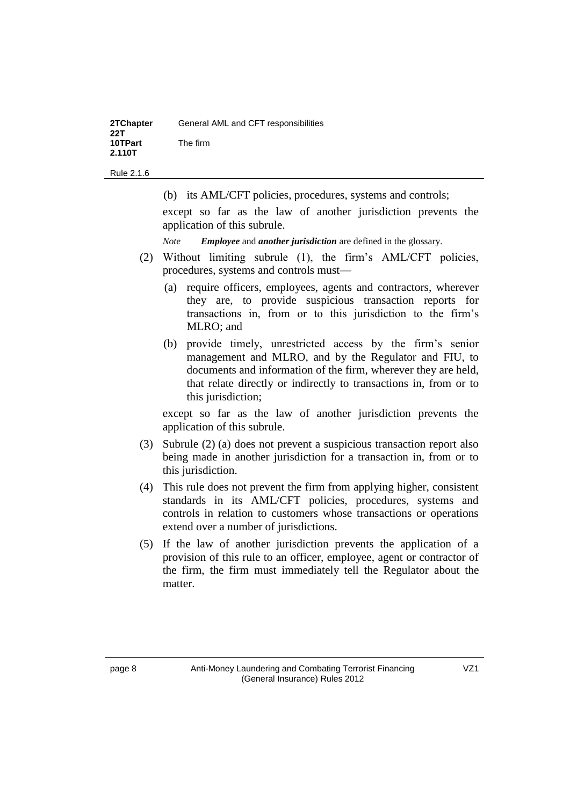| 2TChapter<br>22T  | General AML and CFT responsibilities |
|-------------------|--------------------------------------|
| 10TPart<br>2.110T | The firm                             |

(b) its AML/CFT policies, procedures, systems and controls;

except so far as the law of another jurisdiction prevents the application of this subrule.

*Note Employee* and *another jurisdiction* are defined in the glossary.

- (2) Without limiting subrule (1), the firm's AML/CFT policies, procedures, systems and controls must—
	- (a) require officers, employees, agents and contractors, wherever they are, to provide suspicious transaction reports for transactions in, from or to this jurisdiction to the firm's MLRO; and
	- (b) provide timely, unrestricted access by the firm's senior management and MLRO, and by the Regulator and FIU, to documents and information of the firm, wherever they are held, that relate directly or indirectly to transactions in, from or to this jurisdiction;

except so far as the law of another jurisdiction prevents the application of this subrule.

- (3) Subrule (2) (a) does not prevent a suspicious transaction report also being made in another jurisdiction for a transaction in, from or to this jurisdiction.
- (4) This rule does not prevent the firm from applying higher, consistent standards in its AML/CFT policies, procedures, systems and controls in relation to customers whose transactions or operations extend over a number of jurisdictions.
- (5) If the law of another jurisdiction prevents the application of a provision of this rule to an officer, employee, agent or contractor of the firm, the firm must immediately tell the Regulator about the matter.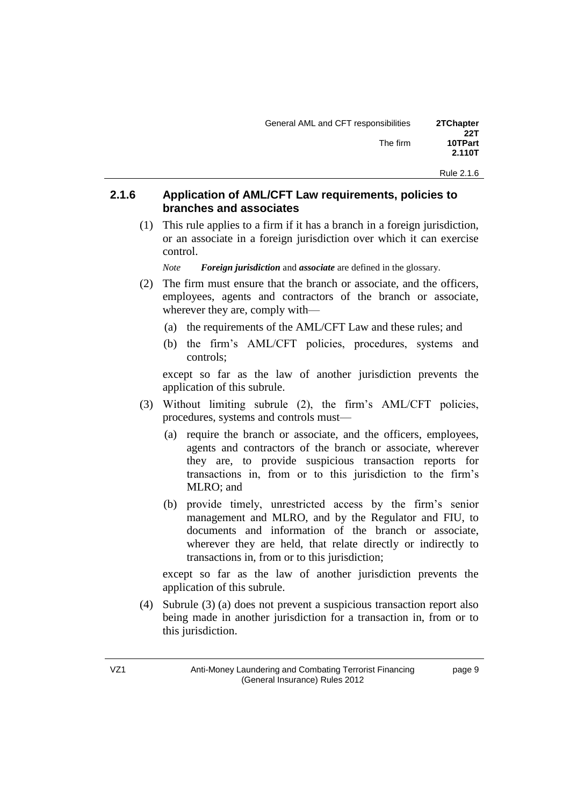#### **2.1.6 Application of AML/CFT Law requirements, policies to branches and associates**

(1) This rule applies to a firm if it has a branch in a foreign jurisdiction, or an associate in a foreign jurisdiction over which it can exercise control.

*Note Foreign jurisdiction* and *associate* are defined in the glossary.

- (2) The firm must ensure that the branch or associate, and the officers, employees, agents and contractors of the branch or associate, wherever they are, comply with—
	- (a) the requirements of the AML/CFT Law and these rules; and
	- (b) the firm's AML/CFT policies, procedures, systems and controls;

except so far as the law of another jurisdiction prevents the application of this subrule.

- (3) Without limiting subrule (2), the firm's AML/CFT policies, procedures, systems and controls must—
	- (a) require the branch or associate, and the officers, employees, agents and contractors of the branch or associate, wherever they are, to provide suspicious transaction reports for transactions in, from or to this jurisdiction to the firm's MLRO; and
	- (b) provide timely, unrestricted access by the firm's senior management and MLRO, and by the Regulator and FIU, to documents and information of the branch or associate, wherever they are held, that relate directly or indirectly to transactions in, from or to this jurisdiction;

except so far as the law of another jurisdiction prevents the application of this subrule.

(4) Subrule (3) (a) does not prevent a suspicious transaction report also being made in another jurisdiction for a transaction in, from or to this jurisdiction.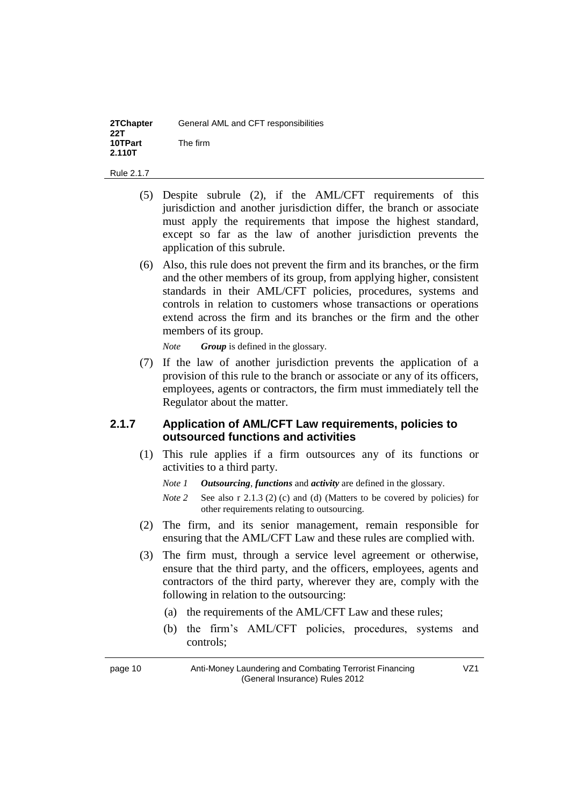| 2TChapter<br>22T  | General AML and CFT responsibilities |
|-------------------|--------------------------------------|
| 10TPart<br>2.110T | The firm                             |

- (5) Despite subrule (2), if the AML/CFT requirements of this jurisdiction and another jurisdiction differ, the branch or associate must apply the requirements that impose the highest standard, except so far as the law of another jurisdiction prevents the application of this subrule.
- (6) Also, this rule does not prevent the firm and its branches, or the firm and the other members of its group, from applying higher, consistent standards in their AML/CFT policies, procedures, systems and controls in relation to customers whose transactions or operations extend across the firm and its branches or the firm and the other members of its group.

*Note Group* is defined in the glossary.

(7) If the law of another jurisdiction prevents the application of a provision of this rule to the branch or associate or any of its officers, employees, agents or contractors, the firm must immediately tell the Regulator about the matter.

#### **2.1.7 Application of AML/CFT Law requirements, policies to outsourced functions and activities**

(1) This rule applies if a firm outsources any of its functions or activities to a third party.

*Note 1 Outsourcing, functions and activity are defined in the glossary.* 

- *Note* 2 *See also r 2.1.3 (2) (c) and (d) (Matters to be covered by policies) for* other requirements relating to outsourcing.
- (2) The firm, and its senior management, remain responsible for ensuring that the AML/CFT Law and these rules are complied with.
- (3) The firm must, through a service level agreement or otherwise, ensure that the third party, and the officers, employees, agents and contractors of the third party, wherever they are, comply with the following in relation to the outsourcing:
	- (a) the requirements of the AML/CFT Law and these rules;
	- (b) the firm's AML/CFT policies, procedures, systems and controls;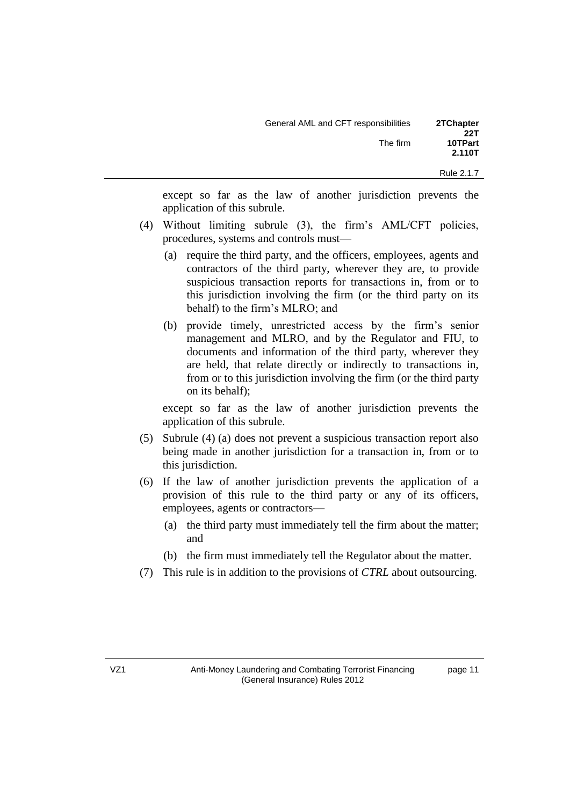| 2TChapter<br>22T | General AML and CFT responsibilities |
|------------------|--------------------------------------|
| 10TPart          | The firm                             |
| 2.110T           |                                      |

except so far as the law of another jurisdiction prevents the application of this subrule.

- (4) Without limiting subrule (3), the firm's AML/CFT policies, procedures, systems and controls must—
	- (a) require the third party, and the officers, employees, agents and contractors of the third party, wherever they are, to provide suspicious transaction reports for transactions in, from or to this jurisdiction involving the firm (or the third party on its behalf) to the firm's MLRO; and
	- (b) provide timely, unrestricted access by the firm's senior management and MLRO, and by the Regulator and FIU, to documents and information of the third party, wherever they are held, that relate directly or indirectly to transactions in, from or to this jurisdiction involving the firm (or the third party on its behalf);

except so far as the law of another jurisdiction prevents the application of this subrule.

- (5) Subrule (4) (a) does not prevent a suspicious transaction report also being made in another jurisdiction for a transaction in, from or to this jurisdiction.
- (6) If the law of another jurisdiction prevents the application of a provision of this rule to the third party or any of its officers, employees, agents or contractors—
	- (a) the third party must immediately tell the firm about the matter; and
	- (b) the firm must immediately tell the Regulator about the matter.
- (7) This rule is in addition to the provisions of *CTRL* about outsourcing.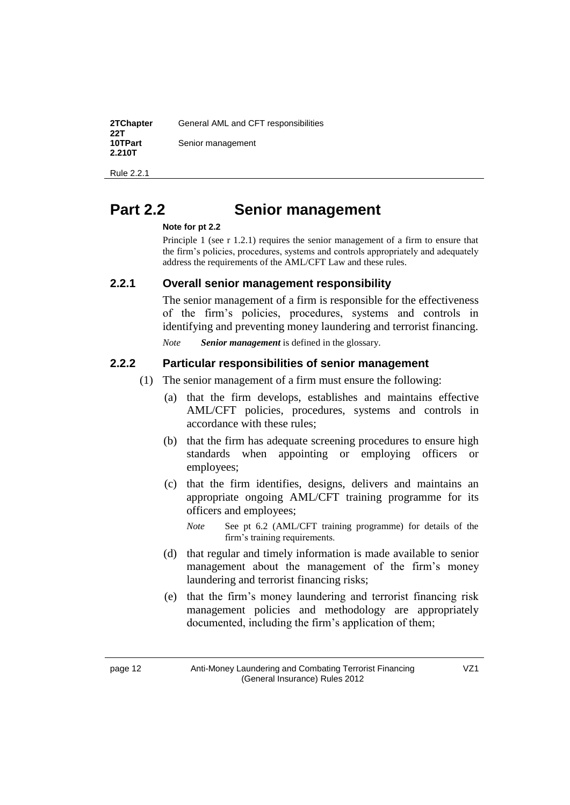| 2TChapter<br>22T  | General AML and CFT responsibilities |
|-------------------|--------------------------------------|
| 10TPart<br>2.210T | Senior management                    |

Rule 2.2.1

# **Part 2.2 10T Senior management**

#### *7T***Note for pt 2.2**

Principle 1 (see r 1.2.1) requires the senior management of a firm to ensure that the firm's policies, procedures, systems and controls appropriately and adequately address the requirements of the AML/CFT Law and these rules.

#### **2.2.1 Overall senior management responsibility**

The senior management of a firm is responsible for the effectiveness of the firm's policies, procedures, systems and controls in identifying and preventing money laundering and terrorist financing. *Note Senior management* is defined in the glossary.

#### **2.2.2 Particular responsibilities of senior management**

- (1) The senior management of a firm must ensure the following:
	- (a) that the firm develops, establishes and maintains effective AML/CFT policies, procedures, systems and controls in accordance with these rules;
	- (b) that the firm has adequate screening procedures to ensure high standards when appointing or employing officers or employees;
	- (c) that the firm identifies, designs, delivers and maintains an appropriate ongoing AML/CFT training programme for its officers and employees;
		- *Note See pt 6.2 (AML/CFT training programme) for details of the* firm's training requirements.
	- (d) that regular and timely information is made available to senior management about the management of the firm's money laundering and terrorist financing risks;
	- (e) that the firm's money laundering and terrorist financing risk management policies and methodology are appropriately documented, including the firm's application of them;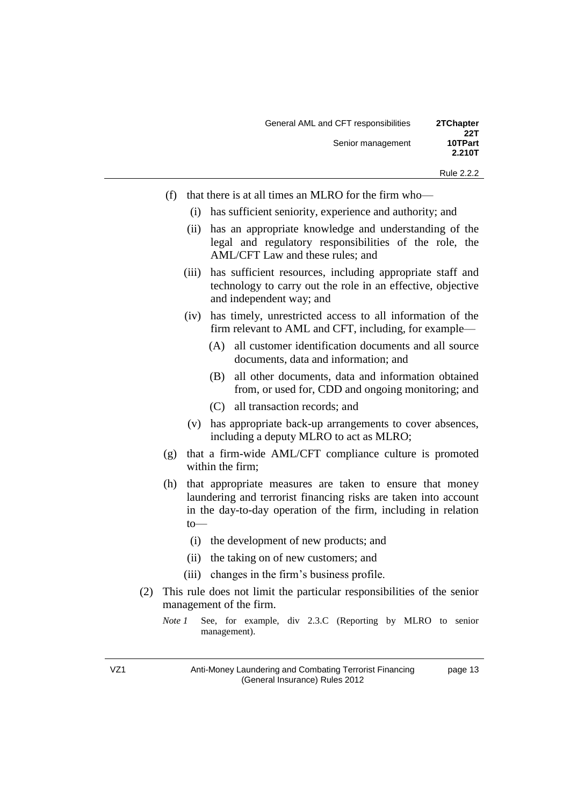| General AML and CFT responsibilities | 2TChapter      |
|--------------------------------------|----------------|
| Senior management                    | 22T<br>10TPart |
|                                      | 2.210T         |

Rule 2.2.2

page 13

- (f) that there is at all times an MLRO for the firm who—
	- (i) has sufficient seniority, experience and authority; and
	- (ii) has an appropriate knowledge and understanding of the legal and regulatory responsibilities of the role, the AML/CFT Law and these rules; and
	- (iii) has sufficient resources, including appropriate staff and technology to carry out the role in an effective, objective and independent way; and
	- (iv) has timely, unrestricted access to all information of the firm relevant to AML and CFT, including, for example—
		- (A) all customer identification documents and all source documents, data and information; and
		- (B) all other documents, data and information obtained from, or used for, CDD and ongoing monitoring; and
		- (C) all transaction records; and
	- (v) has appropriate back-up arrangements to cover absences, including a deputy MLRO to act as MLRO;
- (g) that a firm-wide AML/CFT compliance culture is promoted within the firm;
- (h) that appropriate measures are taken to ensure that money laundering and terrorist financing risks are taken into account in the day-to-day operation of the firm, including in relation to—
	- (i) the development of new products; and
	- (ii) the taking on of new customers; and
	- (iii) changes in the firm's business profile.
- (2) This rule does not limit the particular responsibilities of the senior management of the firm.
	- *Note 1 See*, for example, div 2.3.C (Reporting by MLRO to senior management).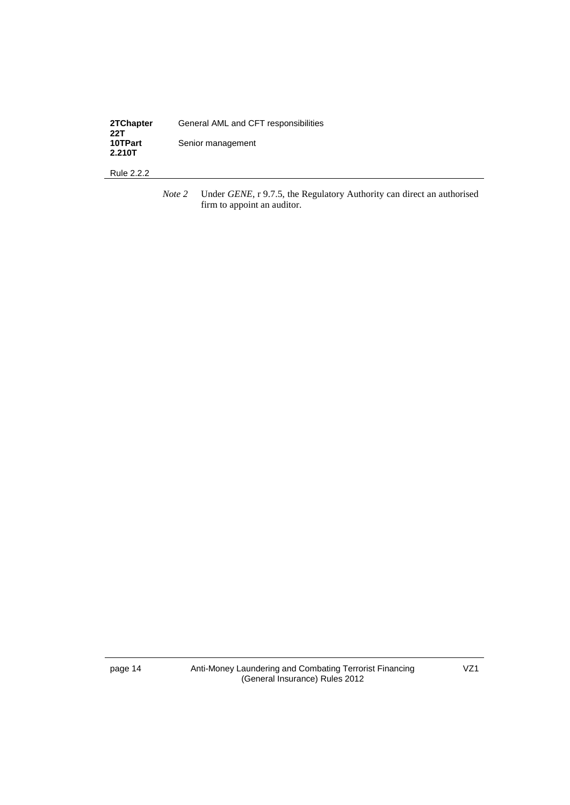| 2TChapter<br>22T  | General AML and CFT responsibilities |
|-------------------|--------------------------------------|
| 10TPart<br>2.210T | Senior management                    |

Rule 2.2.2

*Note 2* Under *GENE*, r 9.7.5, the Regulatory Authority can direct an authorised firm to appoint an auditor.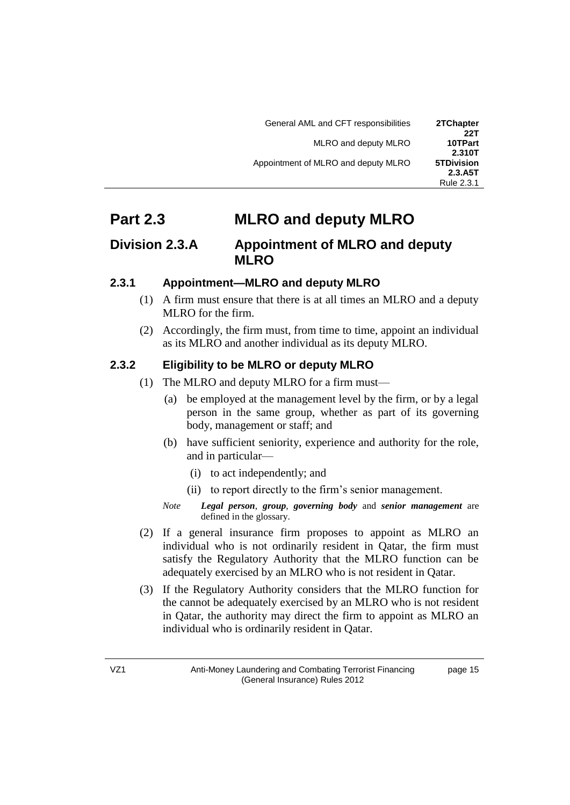| 2TChapter<br>22T      | General AML and CFT responsibilities |
|-----------------------|--------------------------------------|
| 10TPart<br>2.310T     | MLRO and deputy MLRO                 |
| <b>5TDivision</b>     | Appointment of MLRO and deputy MLRO  |
| 2.3.A5T<br>Rule 2.3.1 |                                      |

# **Part 2.3 10TP MLRO** and deputy MLRO

### *Division 2.3.A* Appointment of MLRO and deputy **MLRO**

### **2.3.1 Appointment—MLRO and deputy MLRO**

- (1) A firm must ensure that there is at all times an MLRO and a deputy MLRO for the firm.
- (2) Accordingly, the firm must, from time to time, appoint an individual as its MLRO and another individual as its deputy MLRO.

### **2.3.2 Eligibility to be MLRO or deputy MLRO**

- (1) The MLRO and deputy MLRO for a firm must—
	- (a) be employed at the management level by the firm, or by a legal person in the same group, whether as part of its governing body, management or staff; and
	- (b) have sufficient seniority, experience and authority for the role, and in particular—
		- (i) to act independently; and
		- (ii) to report directly to the firm's senior management.
	- *Note Legal person, group, governing body* and *senior management* are defined in the glossary.
- (2) If a general insurance firm proposes to appoint as MLRO an individual who is not ordinarily resident in Qatar, the firm must satisfy the Regulatory Authority that the MLRO function can be adequately exercised by an MLRO who is not resident in Qatar.
- (3) If the Regulatory Authority considers that the MLRO function for the cannot be adequately exercised by an MLRO who is not resident in Qatar, the authority may direct the firm to appoint as MLRO an individual who is ordinarily resident in Qatar.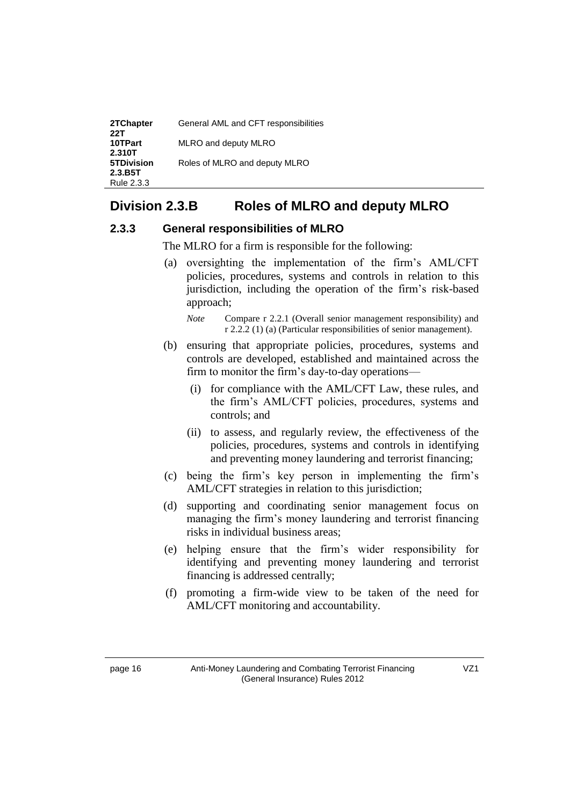| 2TChapter<br>22T      | General AML and CFT responsibilities |
|-----------------------|--------------------------------------|
| 10TPart<br>2.310T     | MLRO and deputy MLRO                 |
| <b>5TDivision</b>     | Roles of MLRO and deputy MLRO        |
| 2.3.B5T<br>Rule 2.3.3 |                                      |

### *5T***Division 2.3.B***5T 6T***Roles of MLRO and deputy MLRO**

### **2.3.3 General responsibilities of MLRO**

The MLRO for a firm is responsible for the following:

- (a) oversighting the implementation of the firm's AML/CFT policies, procedures, systems and controls in relation to this jurisdiction, including the operation of the firm's risk-based approach;
	- *Note Compare r 2.2.1 (Overall senior management responsibility) and* r 2.2.2 (1) (a) (Particular responsibilities of senior management).
- (b) ensuring that appropriate policies, procedures, systems and controls are developed, established and maintained across the firm to monitor the firm's day-to-day operations—
	- (i) for compliance with the AML/CFT Law, these rules, and the firm's AML/CFT policies, procedures, systems and controls; and
	- (ii) to assess, and regularly review, the effectiveness of the policies, procedures, systems and controls in identifying and preventing money laundering and terrorist financing;
- (c) being the firm's key person in implementing the firm's AML/CFT strategies in relation to this jurisdiction;
- (d) supporting and coordinating senior management focus on managing the firm's money laundering and terrorist financing risks in individual business areas;
- (e) helping ensure that the firm's wider responsibility for identifying and preventing money laundering and terrorist financing is addressed centrally;
- (f) promoting a firm-wide view to be taken of the need for AML/CFT monitoring and accountability.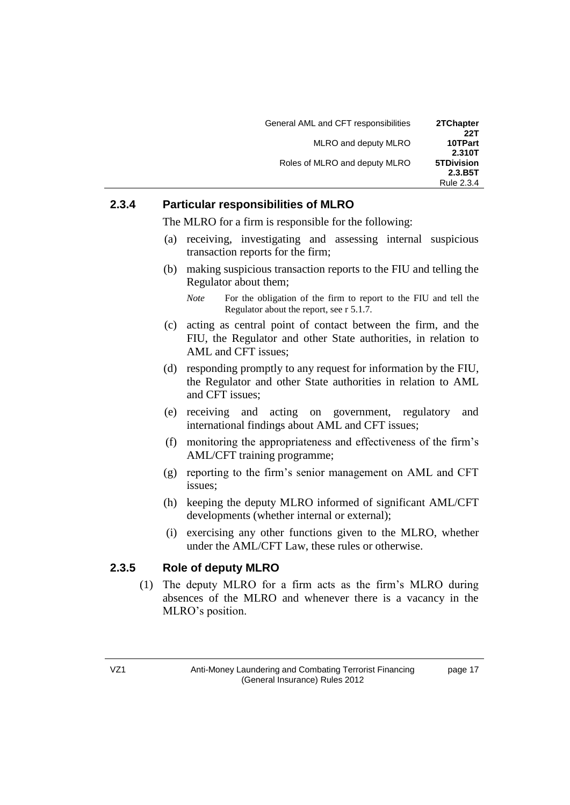| General AML and CFT responsibilities | 2TChapter<br>22T             |
|--------------------------------------|------------------------------|
| MLRO and deputy MLRO                 | 10TPart<br>2.310T            |
| Roles of MLRO and deputy MLRO        | <b>5TDivision</b><br>2.3.B5T |
|                                      | Rule 2.3.4                   |

### **2.3.4 Particular responsibilities of MLRO**

The MLRO for a firm is responsible for the following:

- (a) receiving, investigating and assessing internal suspicious transaction reports for the firm;
- (b) making suspicious transaction reports to the FIU and telling the Regulator about them;
	- *Note* For the obligation of the firm to report to the FIU and tell the Regulator about the report, see r 5.1.7.
- (c) acting as central point of contact between the firm, and the FIU, the Regulator and other State authorities, in relation to AML and CFT issues;
- (d) responding promptly to any request for information by the FIU, the Regulator and other State authorities in relation to AML and CFT issues;
- (e) receiving and acting on government, regulatory and international findings about AML and CFT issues;
- (f) monitoring the appropriateness and effectiveness of the firm's AML/CFT training programme;
- (g) reporting to the firm's senior management on AML and CFT issues;
- (h) keeping the deputy MLRO informed of significant AML/CFT developments (whether internal or external);
- (i) exercising any other functions given to the MLRO, whether under the AML/CFT Law, these rules or otherwise.

### **2.3.5 Role of deputy MLRO**

(1) The deputy MLRO for a firm acts as the firm's MLRO during absences of the MLRO and whenever there is a vacancy in the MLRO's position.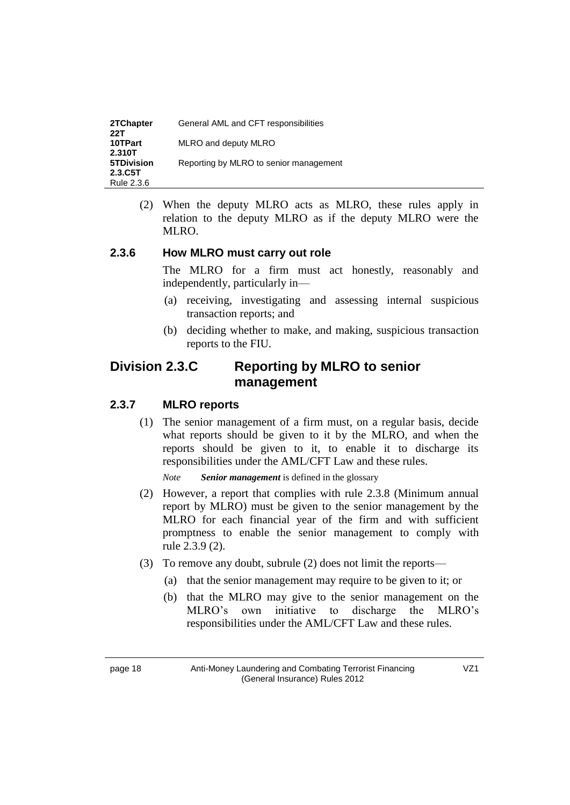| 2TChapter<br>22T  | General AML and CFT responsibilities   |
|-------------------|----------------------------------------|
| 10TPart<br>2.310T | MLRO and deputy MLRO                   |
| <b>5TDivision</b> | Reporting by MLRO to senior management |
| 2.3.C5T           |                                        |
| Rule 2.3.6        |                                        |

(2) When the deputy MLRO acts as MLRO, these rules apply in relation to the deputy MLRO as if the deputy MLRO were the MLRO.

#### **2.3.6 How MLRO must carry out role**

The MLRO for a firm must act honestly, reasonably and independently, particularly in—

- (a) receiving, investigating and assessing internal suspicious transaction reports; and
- (b) deciding whether to make, and making, suspicious transaction reports to the FIU.

### *Division 2.3.C* Reporting by MLRO to senior **management**

#### **2.3.7 MLRO reports**

(1) The senior management of a firm must, on a regular basis, decide what reports should be given to it by the MLRO, and when the reports should be given to it, to enable it to discharge its responsibilities under the AML/CFT Law and these rules.

*Note Senior management* is defined in the glossary

- (2) However, a report that complies with rule 2.3.8 (Minimum annual report by MLRO) must be given to the senior management by the MLRO for each financial year of the firm and with sufficient promptness to enable the senior management to comply with rule 2.3.9 (2).
- (3) To remove any doubt, subrule (2) does not limit the reports—
	- (a) that the senior management may require to be given to it; or
	- (b) that the MLRO may give to the senior management on the MLRO's own initiative to discharge the MLRO's responsibilities under the AML/CFT Law and these rules.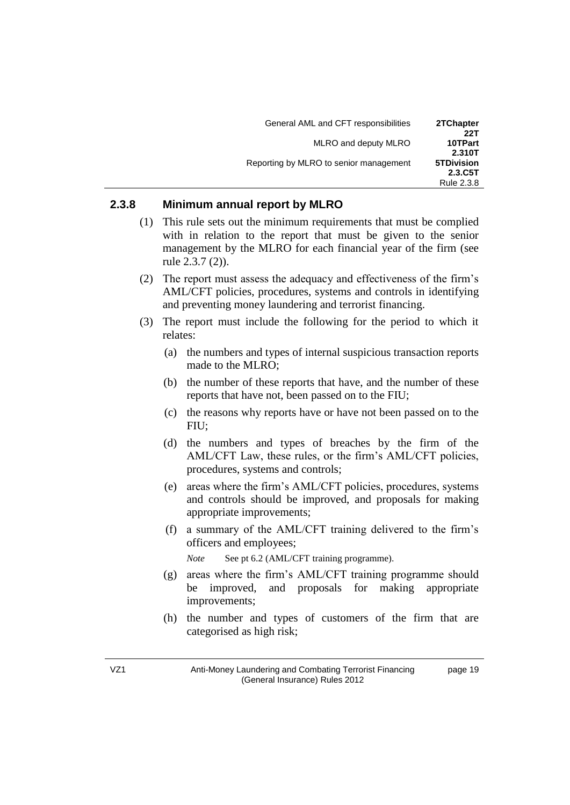| General AML and CFT responsibilities   | 2TChapter             |
|----------------------------------------|-----------------------|
| MLRO and deputy MLRO                   | 22T<br>10TPart        |
|                                        | 2.310T                |
| Reporting by MLRO to senior management | <b>5TDivision</b>     |
|                                        |                       |
|                                        | 2.3.C5T<br>Rule 2.3.8 |

#### **2.3.8 Minimum annual report by MLRO**

- (1) This rule sets out the minimum requirements that must be complied with in relation to the report that must be given to the senior management by the MLRO for each financial year of the firm (see rule 2.3.7 (2)).
- (2) The report must assess the adequacy and effectiveness of the firm's AML/CFT policies, procedures, systems and controls in identifying and preventing money laundering and terrorist financing.
- (3) The report must include the following for the period to which it relates:
	- (a) the numbers and types of internal suspicious transaction reports made to the MLRO;
	- (b) the number of these reports that have, and the number of these reports that have not, been passed on to the FIU;
	- (c) the reasons why reports have or have not been passed on to the FIU;
	- (d) the numbers and types of breaches by the firm of the AML/CFT Law, these rules, or the firm's AML/CFT policies, procedures, systems and controls;
	- (e) areas where the firm's AML/CFT policies, procedures, systems and controls should be improved, and proposals for making appropriate improvements;
	- (f) a summary of the AML/CFT training delivered to the firm's officers and employees;

*Note See pt 6.2 (AML/CFT training programme).* 

- (g) areas where the firm's AML/CFT training programme should be improved, and proposals for making appropriate improvements;
- (h) the number and types of customers of the firm that are categorised as high risk;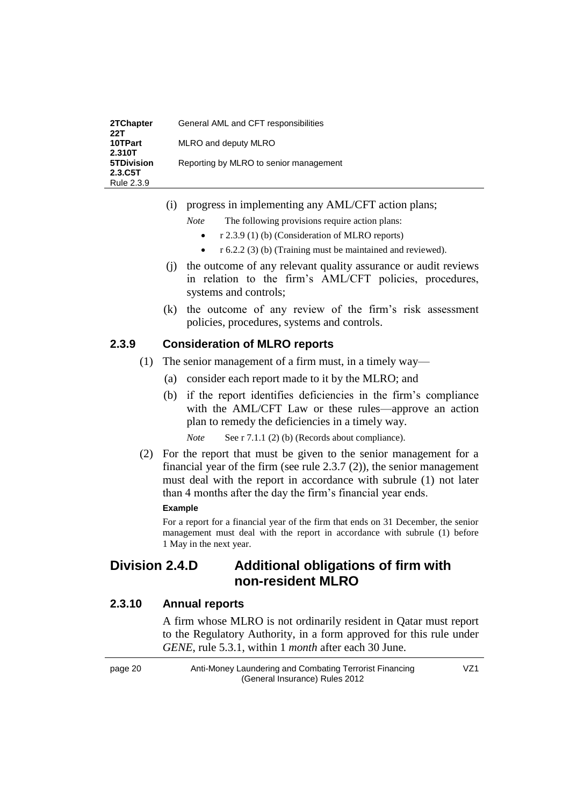| 2TChapter<br>22T            | General AML and CFT responsibilities   |
|-----------------------------|----------------------------------------|
| 10TPart                     | MLRO and deputy MLRO                   |
| 2.310T<br><b>5TDivision</b> | Reporting by MLRO to senior management |
| 2.3.C5T                     |                                        |
| Rule 2.3.9                  |                                        |

- (i) progress in implementing any AML/CFT action plans;
	- *Note* The following provisions require action plans:
		- r 2.3.9 (1) (b) (Consideration of MLRO reports)
		- r 6.2.2 (3) (b) (Training must be maintained and reviewed).
- (j) the outcome of any relevant quality assurance or audit reviews in relation to the firm's AML/CFT policies, procedures, systems and controls;
- (k) the outcome of any review of the firm's risk assessment policies, procedures, systems and controls.

#### **2.3.9 Consideration of MLRO reports**

- (1) The senior management of a firm must, in a timely way—
	- (a) consider each report made to it by the MLRO; and
	- (b) if the report identifies deficiencies in the firm's compliance with the AML/CFT Law or these rules—approve an action plan to remedy the deficiencies in a timely way.

*Note* **See r** 7.1.1 (2) (b) (Records about compliance).

(2) For the report that must be given to the senior management for a financial year of the firm (see rule 2.3.7 (2)), the senior management must deal with the report in accordance with subrule (1) not later than 4 months after the day the firm's financial year ends.

#### **Example**

For a report for a financial year of the firm that ends on 31 December, the senior management must deal with the report in accordance with subrule (1) before 1 May in the next year.

### **Division 2.4.D Additional obligations of firm with non-resident MLRO**

#### **2.3.10 Annual reports**

A firm whose MLRO is not ordinarily resident in Qatar must report to the Regulatory Authority, in a form approved for this rule under *GENE*, rule 5.3.1, within 1 *month* after each 30 June.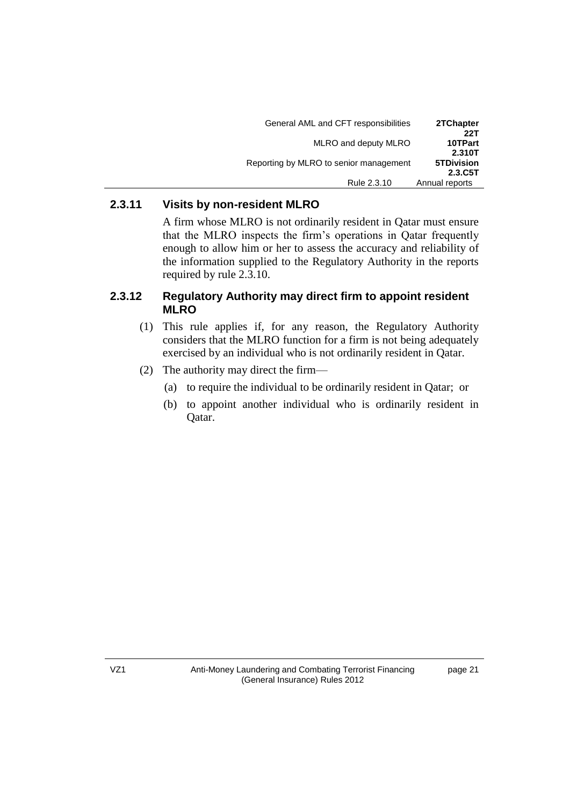| General AML and CFT responsibilities   | 2TChapter<br>22T             |
|----------------------------------------|------------------------------|
| MLRO and deputy MLRO                   | 10TPart<br>2.310T            |
| Reporting by MLRO to senior management | <b>5TDivision</b><br>2.3.C5T |
| Rule 2.3.10                            | Annual reports               |

### **2.3.11 Visits by non-resident MLRO**

A firm whose MLRO is not ordinarily resident in Qatar must ensure that the MLRO inspects the firm's operations in Qatar frequently enough to allow him or her to assess the accuracy and reliability of the information supplied to the Regulatory Authority in the reports required by rule 2.3.10.

#### **2.3.12 Regulatory Authority may direct firm to appoint resident MLRO**

- (1) This rule applies if, for any reason, the Regulatory Authority considers that the MLRO function for a firm is not being adequately exercised by an individual who is not ordinarily resident in Qatar.
- (2) The authority may direct the firm—
	- (a) to require the individual to be ordinarily resident in Qatar; or
	- (b) to appoint another individual who is ordinarily resident in Qatar.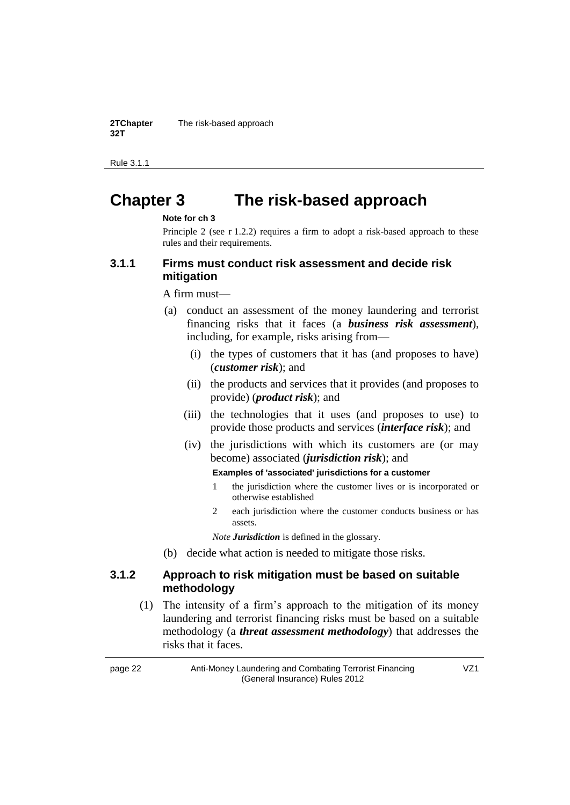**2TChapter 32T** The risk-based approach

Rule 3.1.1

# *2T***Chapter 3***2T 3T***The risk-based approach**

#### *7T***Note for ch 3**

Principle 2 (see r 1.2.2) requires a firm to adopt a risk-based approach to these rules and their requirements.

#### **3.1.1 Firms must conduct risk assessment and decide risk mitigation**

A firm must—

- (a) conduct an assessment of the money laundering and terrorist financing risks that it faces (a *business risk assessment*), including, for example, risks arising from—
	- (i) the types of customers that it has (and proposes to have) (*customer risk*); and
	- (ii) the products and services that it provides (and proposes to provide) (*product risk*); and
	- (iii) the technologies that it uses (and proposes to use) to provide those products and services (*interface risk*); and
	- (iv) the jurisdictions with which its customers are (or may become) associated (*jurisdiction risk*); and

#### **Examples of 'associated' jurisdictions for a customer**

- 1 the jurisdiction where the customer lives or is incorporated or otherwise established
- 2 each jurisdiction where the customer conducts business or has assets.

*Note Jurisdiction* is defined in the glossary.

(b) decide what action is needed to mitigate those risks.

#### **3.1.2 Approach to risk mitigation must be based on suitable methodology**

(1) The intensity of a firm's approach to the mitigation of its money laundering and terrorist financing risks must be based on a suitable methodology (a *threat assessment methodology*) that addresses the risks that it faces.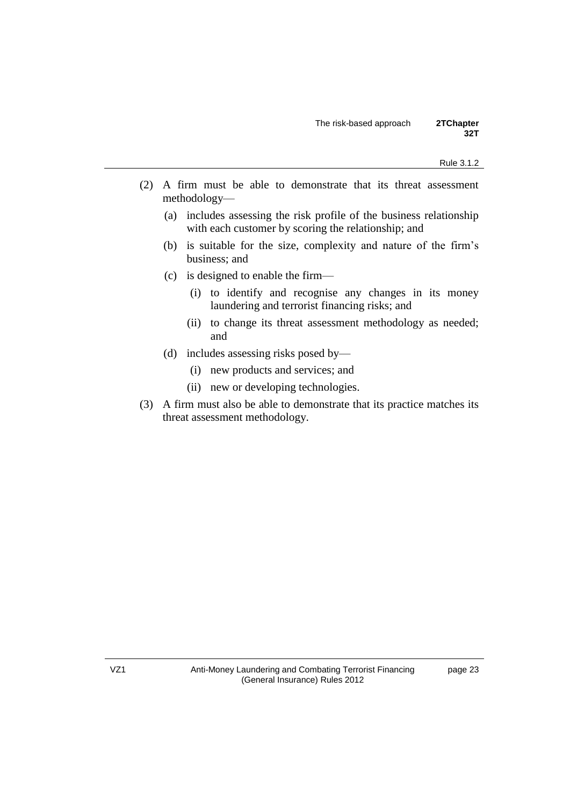- (2) A firm must be able to demonstrate that its threat assessment methodology—
	- (a) includes assessing the risk profile of the business relationship with each customer by scoring the relationship; and
	- (b) is suitable for the size, complexity and nature of the firm's business; and
	- (c) is designed to enable the firm—
		- (i) to identify and recognise any changes in its money laundering and terrorist financing risks; and
		- (ii) to change its threat assessment methodology as needed; and
	- (d) includes assessing risks posed by—
		- (i) new products and services; and
		- (ii) new or developing technologies.
- (3) A firm must also be able to demonstrate that its practice matches its threat assessment methodology.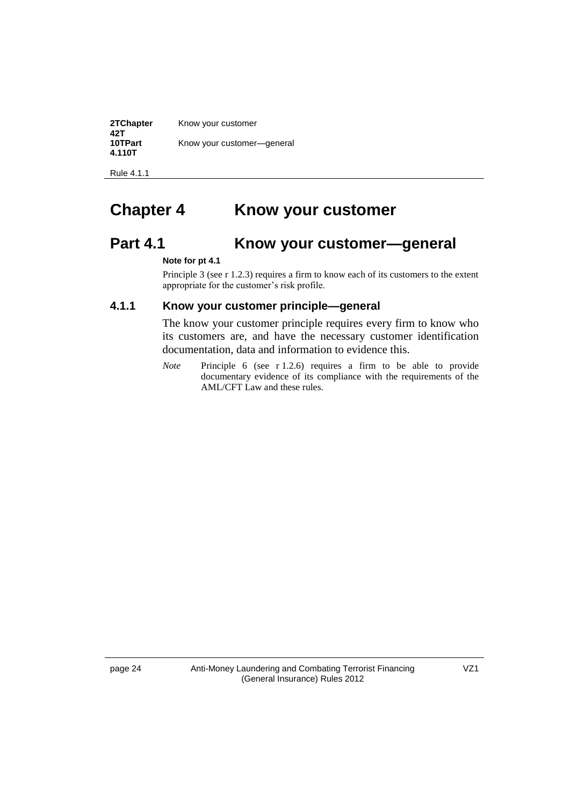**2TChapter 42T** Know your customer **10TPart 4.110T** Know your customer—general

Rule 4.1.1

# **2The ATT ATT CHAPTER 4** 2The **X 2The VOICT 2The STARF 2The CHAPTER 3The STARF 3The STARF 3The STARF 3The STARF 3The STARF 3The STARF 3The STARF 3The STARF 3The STARF 3The STARF 3The STARF 3The STARF 3The STARF 3The STAR**

## **Part 4.1 10T Know your customer—general**

#### *7T***Note for pt 4.1**

Principle 3 (see r 1.2.3) requires a firm to know each of its customers to the extent appropriate for the customer's risk profile.

#### **4.1.1 Know your customer principle—general**

The know your customer principle requires every firm to know who its customers are, and have the necessary customer identification documentation, data and information to evidence this.

*Note* Principle 6 (see r 1.2.6) requires a firm to be able to provide documentary evidence of its compliance with the requirements of the AML/CFT Law and these rules.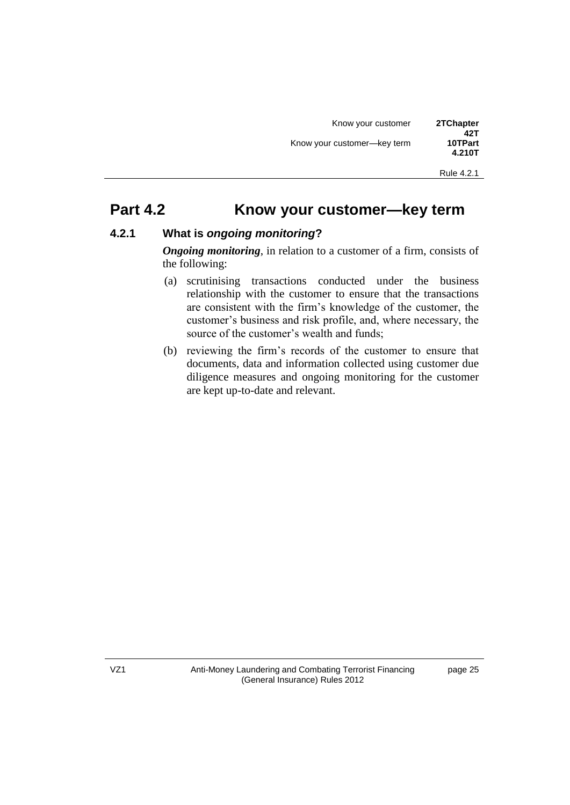### **Part 4.2 10TP Know your customer—key term**

### **4.2.1 What is** *ongoing monitoring***?**

*Ongoing monitoring*, in relation to a customer of a firm, consists of the following:

- (a) scrutinising transactions conducted under the business relationship with the customer to ensure that the transactions are consistent with the firm's knowledge of the customer, the customer's business and risk profile, and, where necessary, the source of the customer's wealth and funds;
- (b) reviewing the firm's records of the customer to ensure that documents, data and information collected using customer due diligence measures and ongoing monitoring for the customer are kept up-to-date and relevant.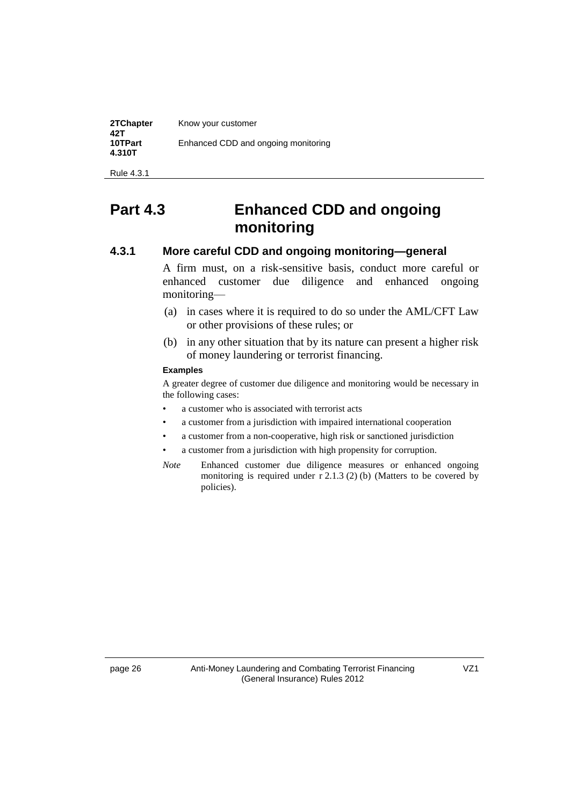| 2TChapter<br>42T  | Know your customer                  |
|-------------------|-------------------------------------|
| 10TPart<br>4.310T | Enhanced CDD and ongoing monitoring |

Rule 4.3.1

# **Part 4.3 10TP Enhanced CDD and ongoing monitoring**

#### **4.3.1 More careful CDD and ongoing monitoring—general**

A firm must, on a risk-sensitive basis, conduct more careful or enhanced customer due diligence and enhanced ongoing monitoring—

- (a) in cases where it is required to do so under the AML/CFT Law or other provisions of these rules; or
- (b) in any other situation that by its nature can present a higher risk of money laundering or terrorist financing.

#### **Examples**

A greater degree of customer due diligence and monitoring would be necessary in the following cases:

- a customer who is associated with terrorist acts
- a customer from a jurisdiction with impaired international cooperation
- a customer from a non-cooperative, high risk or sanctioned jurisdiction
- a customer from a jurisdiction with high propensity for corruption.
- *Note 7TP Z*Enhanced customer due diligence measures or enhanced ongoing monitoring is required under  $r$  2.1.3 (2) (b) (Matters to be covered by policies).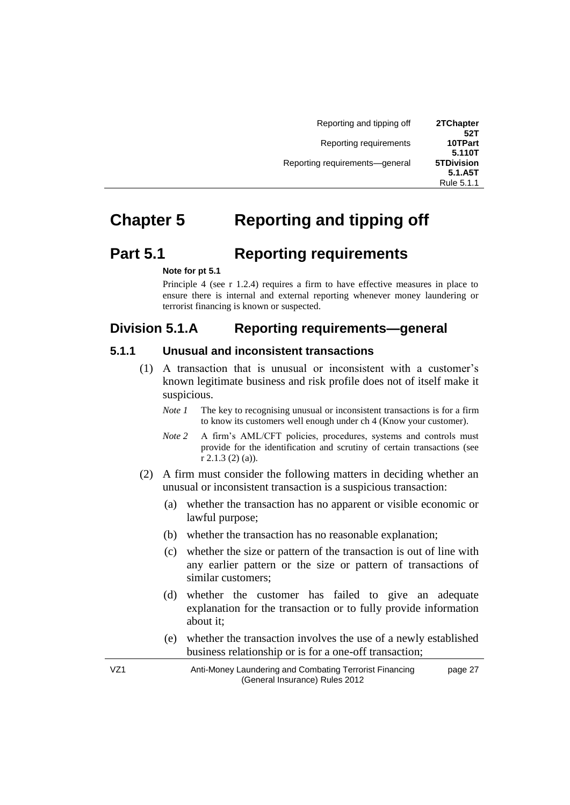| 2TChapter<br>52T             | Reporting and tipping off      |  |
|------------------------------|--------------------------------|--|
| 10TPart<br>5.110T            | Reporting requirements         |  |
| <b>5TDivision</b><br>5.1.A5T | Reporting requirements-general |  |
| Rule 5.1.1                   |                                |  |

# **2The** *Z* **<b>3The** *X* **3The** *X**Beporting and tipping off*

### **Part 5.1 10TP Reporting requirements**

#### *7T***Note for pt 5.1**

Principle 4 (see r 1.2.4) requires a firm to have effective measures in place to ensure there is internal and external reporting whenever money laundering or terrorist financing is known or suspected.

### *Division 5.1.A* Reporting requirements—general

#### **5.1.1 Unusual and inconsistent transactions**

- (1) A transaction that is unusual or inconsistent with a customer's known legitimate business and risk profile does not of itself make it suspicious.
	- *Note* 1 The key to recognising unusual or inconsistent transactions is for a firm to know its customers well enough under ch 4 (Know your customer).
	- *Note* 2 *A* firm's AML/CFT policies, procedures, systems and controls must provide for the identification and scrutiny of certain transactions (see r 2.1.3 (2) (a)).
- (2) A firm must consider the following matters in deciding whether an unusual or inconsistent transaction is a suspicious transaction:
	- (a) whether the transaction has no apparent or visible economic or lawful purpose;
	- (b) whether the transaction has no reasonable explanation;
	- (c) whether the size or pattern of the transaction is out of line with any earlier pattern or the size or pattern of transactions of similar customers;
	- (d) whether the customer has failed to give an adequate explanation for the transaction or to fully provide information about it;
	- (e) whether the transaction involves the use of a newly established business relationship or is for a one-off transaction;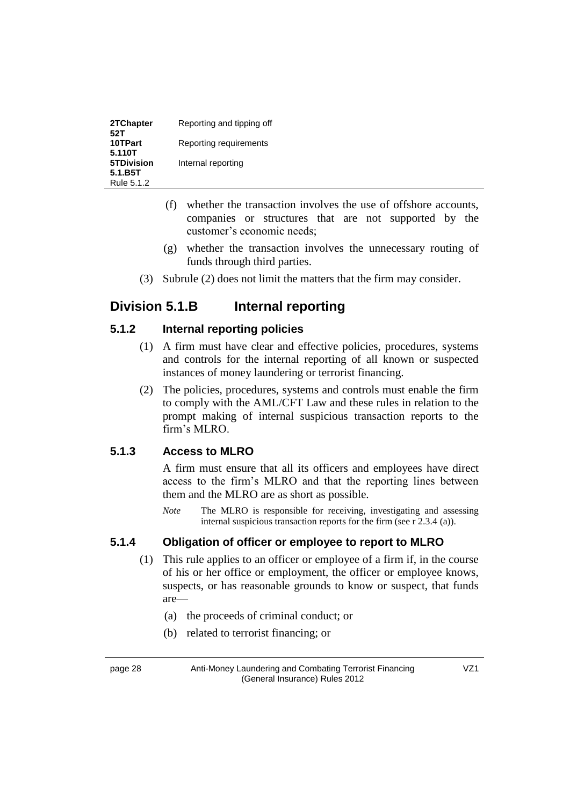| 2TChapter<br>52T  | Reporting and tipping off |
|-------------------|---------------------------|
| 10TPart<br>5.110T | Reporting requirements    |
| <b>5TDivision</b> | Internal reporting        |
| 5.1.B5T           |                           |
| Rule 5.1.2        |                           |

- (f) whether the transaction involves the use of offshore accounts, companies or structures that are not supported by the customer's economic needs;
- (g) whether the transaction involves the unnecessary routing of funds through third parties.
- (3) Subrule (2) does not limit the matters that the firm may consider.

### *Division 5.1.B Internal reporting*

### **5.1.2 Internal reporting policies**

- (1) A firm must have clear and effective policies, procedures, systems and controls for the internal reporting of all known or suspected instances of money laundering or terrorist financing.
- (2) The policies, procedures, systems and controls must enable the firm to comply with the AML/CFT Law and these rules in relation to the prompt making of internal suspicious transaction reports to the firm's MLRO.

### **5.1.3 Access to MLRO**

A firm must ensure that all its officers and employees have direct access to the firm's MLRO and that the reporting lines between them and the MLRO are as short as possible.

*Note* The MLRO is responsible for receiving, investigating and assessing internal suspicious transaction reports for the firm (see r 2.3.4 (a)).

### **5.1.4 Obligation of officer or employee to report to MLRO**

- (1) This rule applies to an officer or employee of a firm if, in the course of his or her office or employment, the officer or employee knows, suspects, or has reasonable grounds to know or suspect, that funds are—
	- (a) the proceeds of criminal conduct; or
	- (b) related to terrorist financing; or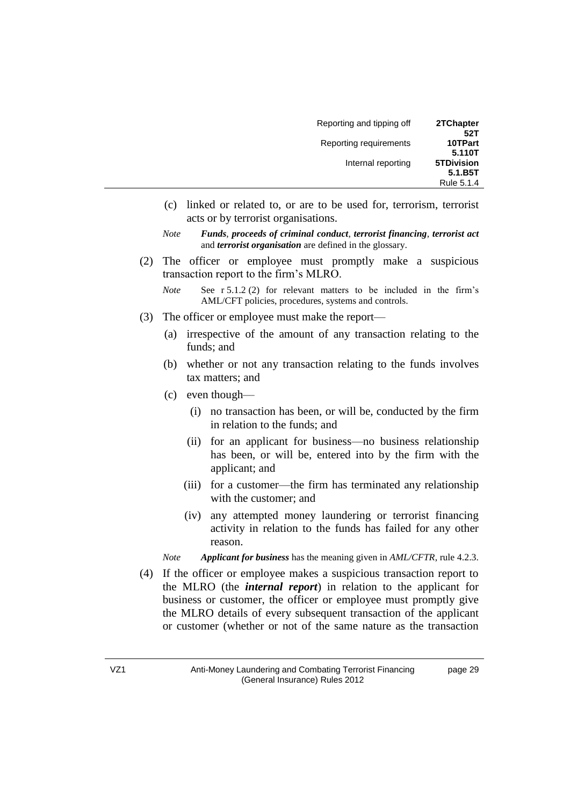| Reporting and tipping off | 2TChapter         |
|---------------------------|-------------------|
|                           | 52T               |
| Reporting requirements    | 10TPart           |
|                           | 5.110T            |
| Internal reporting        | <b>5TDivision</b> |
|                           | 5.1.B5T           |
|                           | Rule 5.1.4        |

- (c) linked or related to, or are to be used for, terrorism, terrorist acts or by terrorist organisations.
- *Note <i>Funds*, proceeds of criminal conduct, terrorist financing, terrorist act and *terrorist organisation* are defined in the glossary.
- (2) The officer or employee must promptly make a suspicious transaction report to the firm's MLRO.

*Note See r 5.1.2 (2) for relevant matters to be included in the firm's* AML/CFT policies, procedures, systems and controls.

- (3) The officer or employee must make the report—
	- (a) irrespective of the amount of any transaction relating to the funds; and
	- (b) whether or not any transaction relating to the funds involves tax matters; and
	- (c) even though—
		- (i) no transaction has been, or will be, conducted by the firm in relation to the funds; and
		- (ii) for an applicant for business—no business relationship has been, or will be, entered into by the firm with the applicant; and
		- (iii) for a customer—the firm has terminated any relationship with the customer; and
		- (iv) any attempted money laundering or terrorist financing activity in relation to the funds has failed for any other reason.

*Note Applicant for business* has the meaning given in *AML/CFTR*, rule 4.2.3.

(4) If the officer or employee makes a suspicious transaction report to the MLRO (the *internal report*) in relation to the applicant for business or customer, the officer or employee must promptly give the MLRO details of every subsequent transaction of the applicant or customer (whether or not of the same nature as the transaction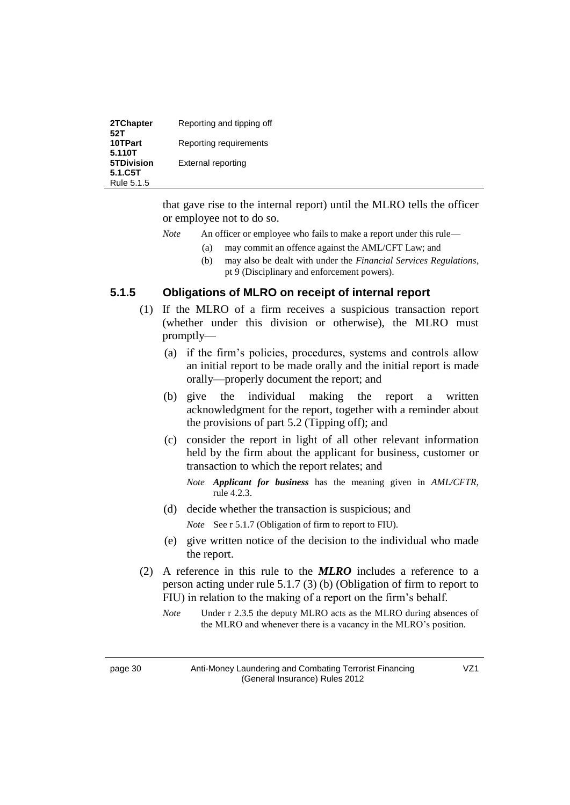| 2TChapter<br>52T      | Reporting and tipping off |
|-----------------------|---------------------------|
| 10TPart<br>5.110T     | Reporting requirements    |
| <b>5TDivision</b>     | External reporting        |
| 5.1.C5T<br>Rule 5.1.5 |                           |

that gave rise to the internal report) until the MLRO tells the officer or employee not to do so.

- *Note* An officer or employee who fails to make a report under this rule—
	- (a) may commit an offence against the AML/CFT Law; and
	- (b) may also be dealt with under the *Financial Services Regulations*, pt 9 (Disciplinary and enforcement powers).

#### **5.1.5 Obligations of MLRO on receipt of internal report**

- (1) If the MLRO of a firm receives a suspicious transaction report (whether under this division or otherwise), the MLRO must promptly—
	- (a) if the firm's policies, procedures, systems and controls allow an initial report to be made orally and the initial report is made orally—properly document the report; and
	- (b) give the individual making the report a written acknowledgment for the report, together with a reminder about the provisions of part 5.2 (Tipping off); and
	- (c) consider the report in light of all other relevant information held by the firm about the applicant for business, customer or transaction to which the report relates; and
		- *Note Applicant for business* has the meaning given in *AML/CFTR*, rule 4.2.3.
	- (d) decide whether the transaction is suspicious; and

*Note* See r 5.1.7 (Obligation of firm to report to FIU).

- (e) give written notice of the decision to the individual who made the report.
- (2) A reference in this rule to the *MLRO* includes a reference to a person acting under rule 5.1.7 (3) (b) (Obligation of firm to report to FIU) in relation to the making of a report on the firm's behalf.
	- *Note 7The Under r 2.3.5 the deputy MLRO acts as the MLRO during absences of* the MLRO and whenever there is a vacancy in the MLRO's position.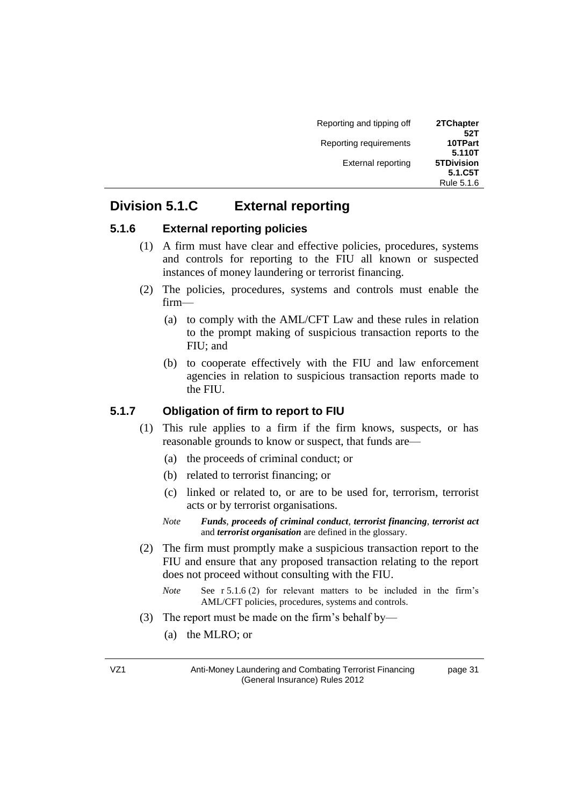| Reporting and tipping off | 2TChapter<br>52T             |
|---------------------------|------------------------------|
| Reporting requirements    | 10TPart<br>5.110T            |
| <b>External reporting</b> | <b>5TDivision</b><br>5.1.C5T |
|                           | Rule 5.1.6                   |

### *Division 5.1.C* **External reporting**

#### **5.1.6 External reporting policies**

- (1) A firm must have clear and effective policies, procedures, systems and controls for reporting to the FIU all known or suspected instances of money laundering or terrorist financing.
- (2) The policies, procedures, systems and controls must enable the firm—
	- (a) to comply with the AML/CFT Law and these rules in relation to the prompt making of suspicious transaction reports to the FIU; and
	- (b) to cooperate effectively with the FIU and law enforcement agencies in relation to suspicious transaction reports made to the FIU.

#### **5.1.7 Obligation of firm to report to FIU**

- (1) This rule applies to a firm if the firm knows, suspects, or has reasonable grounds to know or suspect, that funds are—
	- (a) the proceeds of criminal conduct; or
	- (b) related to terrorist financing; or
	- (c) linked or related to, or are to be used for, terrorism, terrorist acts or by terrorist organisations.
	- *Note <i>Funds*, proceeds of criminal conduct, terrorist financing, terrorist act *nd terrorist organisation* are defined in the glossary.
- (2) The firm must promptly make a suspicious transaction report to the FIU and ensure that any proposed transaction relating to the report does not proceed without consulting with the FIU.
	- *Note* **See r 5.1.6 (2)** for relevant matters to be included in the firm's AML/CFT policies, procedures, systems and controls.
- (3) The report must be made on the firm's behalf by—
	- (a) the MLRO; or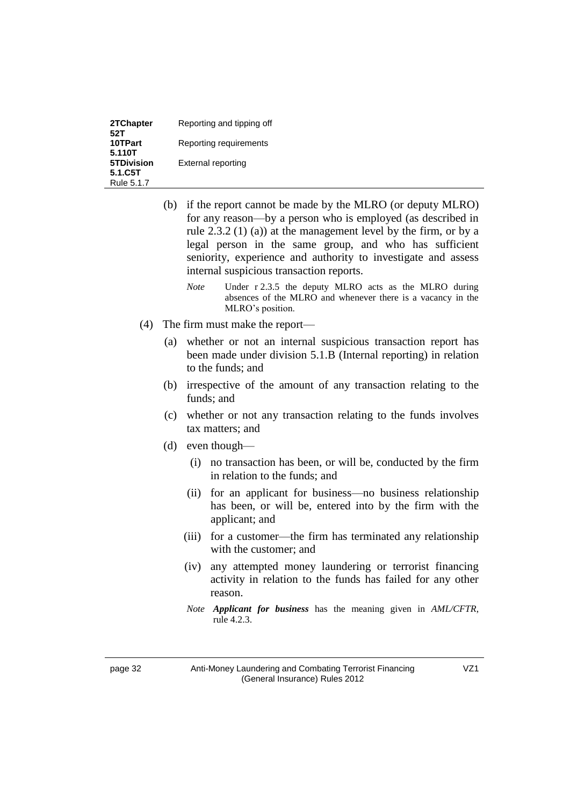| 2TChapter<br>52T  | Reporting and tipping off |
|-------------------|---------------------------|
| 10TPart<br>5.110T | Reporting requirements    |
| <b>5TDivision</b> | External reporting        |
| 5.1.C5T           |                           |
| Rule 5.1.7        |                           |

- (b) if the report cannot be made by the MLRO (or deputy MLRO) for any reason—by a person who is employed (as described in rule 2.3.2 (1) (a)) at the management level by the firm, or by a legal person in the same group, and who has sufficient seniority, experience and authority to investigate and assess internal suspicious transaction reports.
	- *Note V*nder r 2.3.5 the deputy MLRO acts as the MLRO during absences of the MLRO and whenever there is a vacancy in the MLRO's position.
- (4) The firm must make the report—
	- (a) whether or not an internal suspicious transaction report has been made under division 5.1.B (Internal reporting) in relation to the funds; and
	- (b) irrespective of the amount of any transaction relating to the funds; and
	- (c) whether or not any transaction relating to the funds involves tax matters; and
	- (d) even though—
		- (i) no transaction has been, or will be, conducted by the firm in relation to the funds; and
		- (ii) for an applicant for business—no business relationship has been, or will be, entered into by the firm with the applicant; and
		- (iii) for a customer—the firm has terminated any relationship with the customer; and
		- (iv) any attempted money laundering or terrorist financing activity in relation to the funds has failed for any other reason.
		- *Note Applicant for business* has the meaning given in *AML/CFTR*, rule 4.2.3.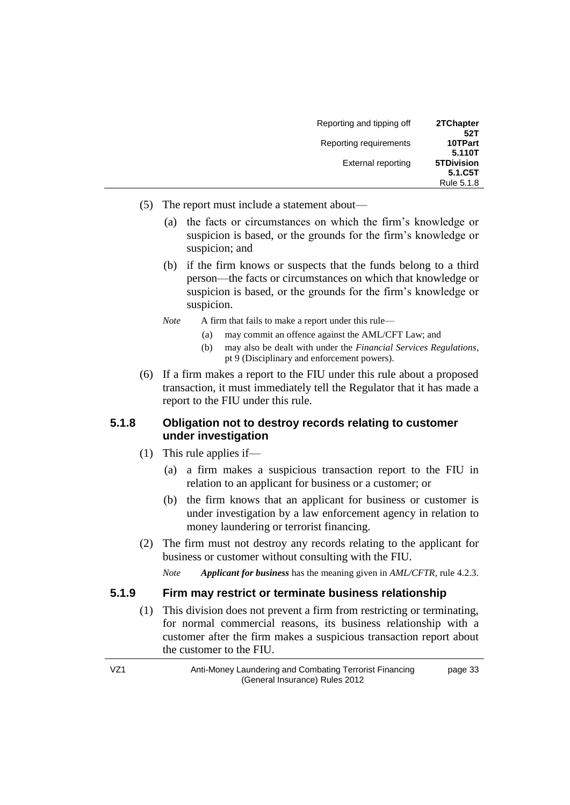| Reporting and tipping off | 2TChapter<br>52T             |
|---------------------------|------------------------------|
| Reporting requirements    | 10TPart<br>5.110T            |
| External reporting        | <b>5TDivision</b><br>5.1.C5T |
|                           | Rule 5.1.8                   |

- (5) The report must include a statement about—
	- (a) the facts or circumstances on which the firm's knowledge or suspicion is based, or the grounds for the firm's knowledge or suspicion; and
	- (b) if the firm knows or suspects that the funds belong to a third person—the facts or circumstances on which that knowledge or suspicion is based, or the grounds for the firm's knowledge or suspicion.
	- *Note A* firm that fails to make a report under this rule—
		- (a) may commit an offence against the AML/CFT Law; and
		- (b) may also be dealt with under the *Financial Services Regulations*, pt 9 (Disciplinary and enforcement powers).
- (6) If a firm makes a report to the FIU under this rule about a proposed transaction, it must immediately tell the Regulator that it has made a report to the FIU under this rule.

### **5.1.8 Obligation not to destroy records relating to customer under investigation**

- (1) This rule applies if—
	- (a) a firm makes a suspicious transaction report to the FIU in relation to an applicant for business or a customer; or
	- (b) the firm knows that an applicant for business or customer is under investigation by a law enforcement agency in relation to money laundering or terrorist financing.
- (2) The firm must not destroy any records relating to the applicant for business or customer without consulting with the FIU.

*Note Applicant for business* has the meaning given in *AML/CFTR*, rule 4.2.3.

#### **5.1.9 Firm may restrict or terminate business relationship**

(1) This division does not prevent a firm from restricting or terminating, for normal commercial reasons, its business relationship with a customer after the firm makes a suspicious transaction report about the customer to the FIU.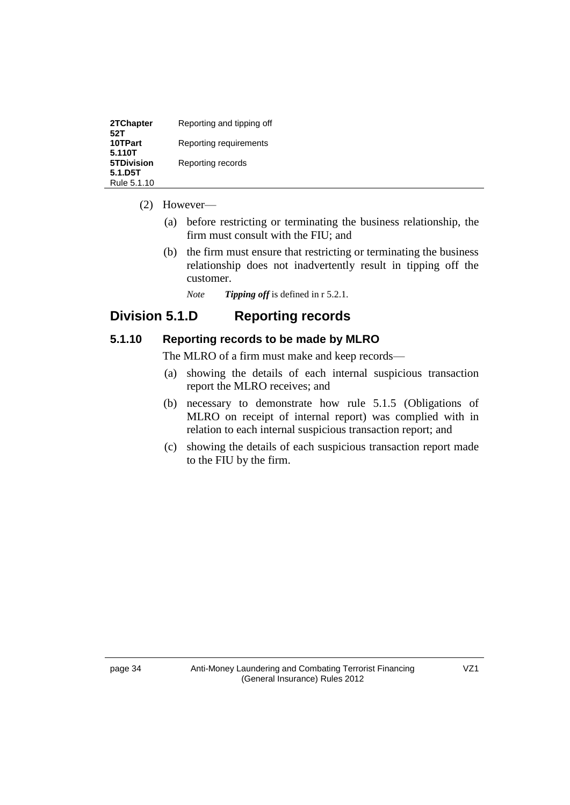| 2TChapter<br>52T       | Reporting and tipping off |
|------------------------|---------------------------|
| 10TPart<br>5.110T      | Reporting requirements    |
| <b>5TDivision</b>      | Reporting records         |
| 5.1.D5T<br>Rule 5.1.10 |                           |

#### (2) However—

- (a) before restricting or terminating the business relationship, the firm must consult with the FIU; and
- (b) the firm must ensure that restricting or terminating the business relationship does not inadvertently result in tipping off the customer.
	- *Note <i>Tipping off* is defined in r 5.2.1.

### *Division 5.1.D* **Reporting records**

#### **5.1.10 Reporting records to be made by MLRO**

The MLRO of a firm must make and keep records—

- (a) showing the details of each internal suspicious transaction report the MLRO receives; and
- (b) necessary to demonstrate how rule 5.1.5 (Obligations of MLRO on receipt of internal report) was complied with in relation to each internal suspicious transaction report; and
- (c) showing the details of each suspicious transaction report made to the FIU by the firm.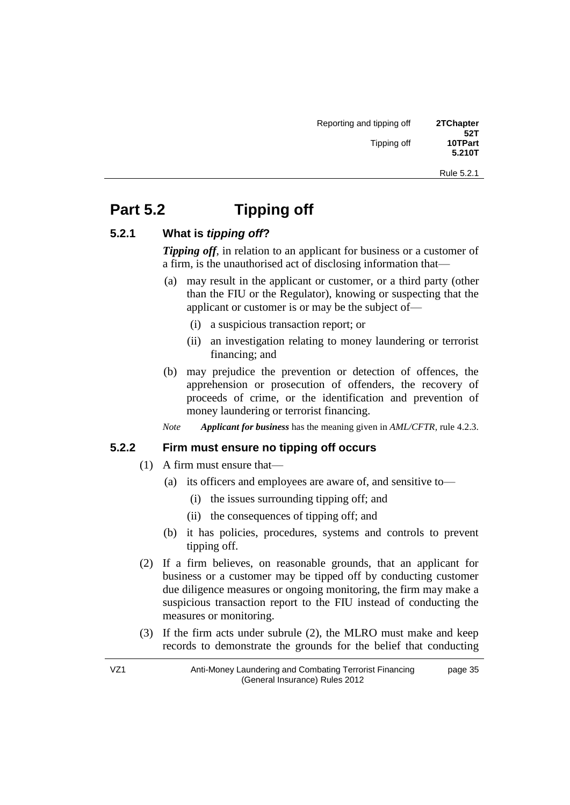Rule 5.2.1

# **Part 5.2 11P** Tipping off

#### **5.2.1 What is** *tipping off***?**

*Tipping off*, in relation to an applicant for business or a customer of a firm, is the unauthorised act of disclosing information that—

- (a) may result in the applicant or customer, or a third party (other than the FIU or the Regulator), knowing or suspecting that the applicant or customer is or may be the subject of—
	- (i) a suspicious transaction report; or
	- (ii) an investigation relating to money laundering or terrorist financing; and
- (b) may prejudice the prevention or detection of offences, the apprehension or prosecution of offenders, the recovery of proceeds of crime, or the identification and prevention of money laundering or terrorist financing.

*Note Applicant for business* has the meaning given in *AML/CFTR*, rule 4.2.3.

#### **5.2.2 Firm must ensure no tipping off occurs**

- (1) A firm must ensure that—
	- (a) its officers and employees are aware of, and sensitive to—
		- (i) the issues surrounding tipping off; and
		- (ii) the consequences of tipping off; and
	- (b) it has policies, procedures, systems and controls to prevent tipping off.
- (2) If a firm believes, on reasonable grounds, that an applicant for business or a customer may be tipped off by conducting customer due diligence measures or ongoing monitoring, the firm may make a suspicious transaction report to the FIU instead of conducting the measures or monitoring.
- (3) If the firm acts under subrule (2), the MLRO must make and keep records to demonstrate the grounds for the belief that conducting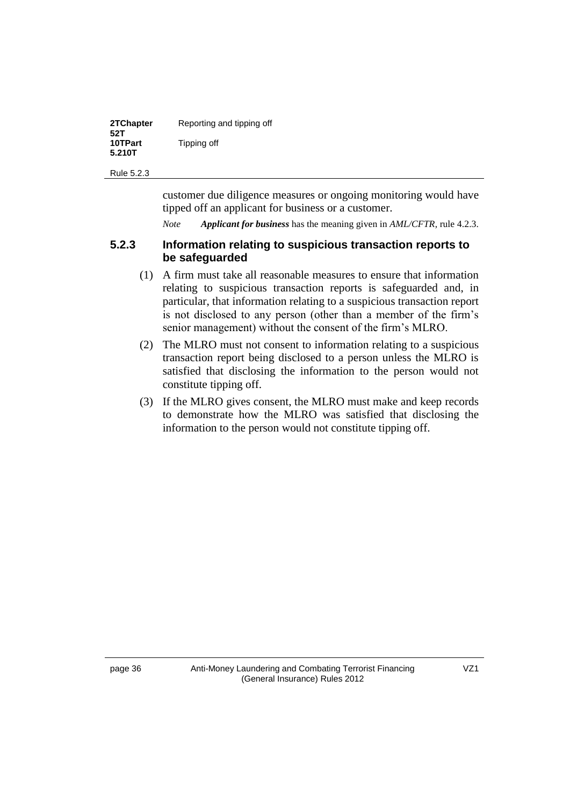| 2TChapter<br>52T  | Reporting and tipping off |
|-------------------|---------------------------|
| 10TPart<br>5.210T | Tipping off               |

Rule 5.2.3

customer due diligence measures or ongoing monitoring would have tipped off an applicant for business or a customer.

*Note Applicant for business* has the meaning given in *AML/CFTR*, rule 4.2.3.

#### **5.2.3 Information relating to suspicious transaction reports to be safeguarded**

- (1) A firm must take all reasonable measures to ensure that information relating to suspicious transaction reports is safeguarded and, in particular, that information relating to a suspicious transaction report is not disclosed to any person (other than a member of the firm's senior management) without the consent of the firm's MLRO.
- (2) The MLRO must not consent to information relating to a suspicious transaction report being disclosed to a person unless the MLRO is satisfied that disclosing the information to the person would not constitute tipping off.
- (3) If the MLRO gives consent, the MLRO must make and keep records to demonstrate how the MLRO was satisfied that disclosing the information to the person would not constitute tipping off.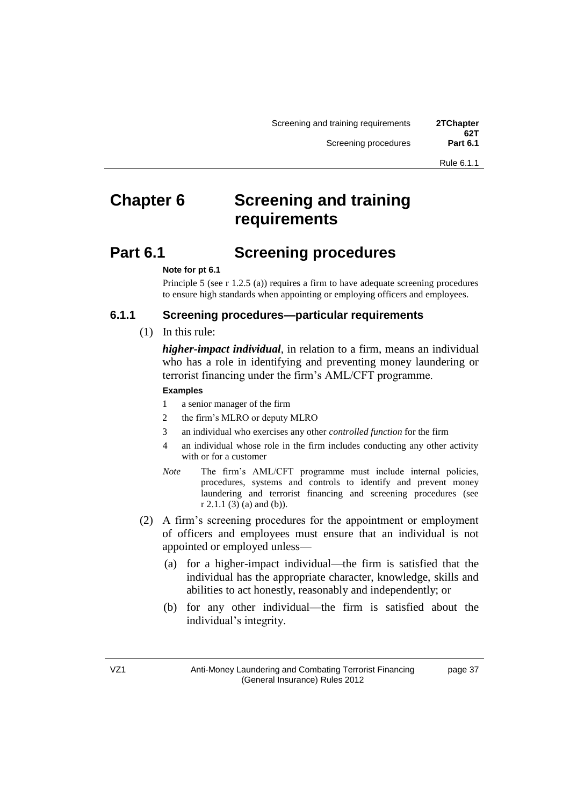# **2The Screening and training Chapter 6 requirements**

# **Part 6.1 Screening procedures**

#### *7T***Note for pt 6.1**

Principle 5 (see r 1.2.5 (a)) requires a firm to have adequate screening procedures to ensure high standards when appointing or employing officers and employees.

#### **6.1.1 Screening procedures—particular requirements**

(1) In this rule:

*higher-impact individual*, in relation to a firm, means an individual who has a role in identifying and preventing money laundering or terrorist financing under the firm's AML/CFT programme.

#### **Examples**

- 1 a senior manager of the firm
- 2 the firm's MLRO or deputy MLRO
- 3 an individual who exercises any other *controlled function* for the firm
- 4 an individual whose role in the firm includes conducting any other activity with or for a customer
- *Note* The firm's AML/CFT programme must include internal policies, procedures, systems and controls to identify and prevent money laundering and terrorist financing and screening procedures (see r 2.1.1 (3) (a) and (b)).
- (2) A firm's screening procedures for the appointment or employment of officers and employees must ensure that an individual is not appointed or employed unless—
	- (a) for a higher-impact individual—the firm is satisfied that the individual has the appropriate character, knowledge, skills and abilities to act honestly, reasonably and independently; or
	- (b) for any other individual—the firm is satisfied about the individual's integrity.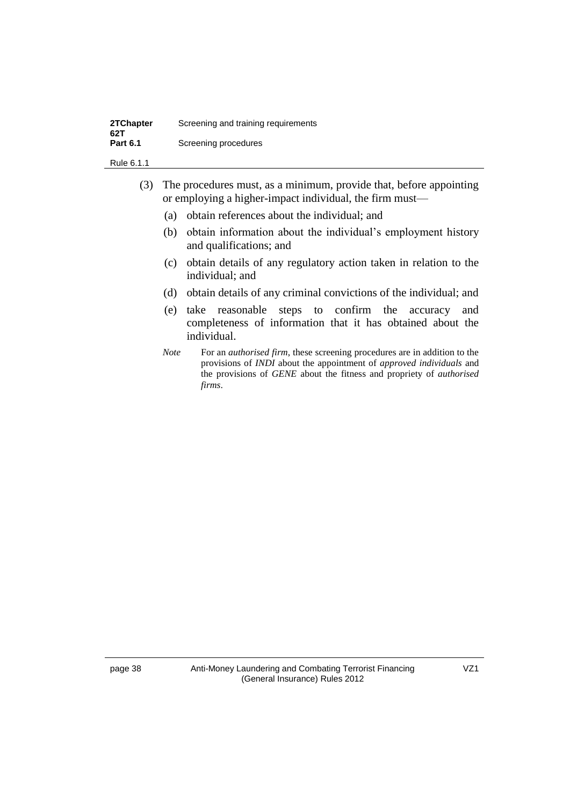| 2TChapter<br>62T | Screening and training requirements |
|------------------|-------------------------------------|
| <b>Part 6.1</b>  | Screening procedures                |

Rule 6.1.1

- (3) The procedures must, as a minimum, provide that, before appointing or employing a higher-impact individual, the firm must—
	- (a) obtain references about the individual; and
	- (b) obtain information about the individual's employment history and qualifications; and
	- (c) obtain details of any regulatory action taken in relation to the individual; and
	- (d) obtain details of any criminal convictions of the individual; and
	- (e) take reasonable steps to confirm the accuracy and completeness of information that it has obtained about the individual.
	- *Note* For an *authorised firm*, these screening procedures are in addition to the provisions of *INDI* about the appointment of *approved individuals* and the provisions of *GENE* about the fitness and propriety of *authorised firms.*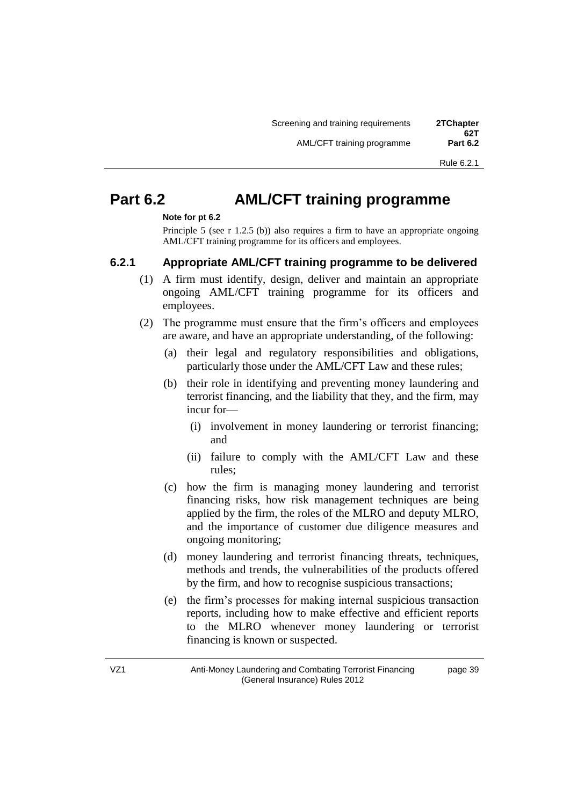page 39

# **Part 6.2 AML/CFT training programme**

#### Note for pt 6.2

Principle 5 (see r 1.2.5 (b)) also requires a firm to have an appropriate ongoing AML/CFT training programme for its officers and employees.

#### **6.2.1 Appropriate AML/CFT training programme to be delivered**

- (1) A firm must identify, design, deliver and maintain an appropriate ongoing AML/CFT training programme for its officers and employees.
- (2) The programme must ensure that the firm's officers and employees are aware, and have an appropriate understanding, of the following:
	- (a) their legal and regulatory responsibilities and obligations, particularly those under the AML/CFT Law and these rules;
	- (b) their role in identifying and preventing money laundering and terrorist financing, and the liability that they, and the firm, may incur for—
		- (i) involvement in money laundering or terrorist financing; and
		- (ii) failure to comply with the AML/CFT Law and these rules;
	- (c) how the firm is managing money laundering and terrorist financing risks, how risk management techniques are being applied by the firm, the roles of the MLRO and deputy MLRO, and the importance of customer due diligence measures and ongoing monitoring;
	- (d) money laundering and terrorist financing threats, techniques, methods and trends, the vulnerabilities of the products offered by the firm, and how to recognise suspicious transactions;
	- (e) the firm's processes for making internal suspicious transaction reports, including how to make effective and efficient reports to the MLRO whenever money laundering or terrorist financing is known or suspected.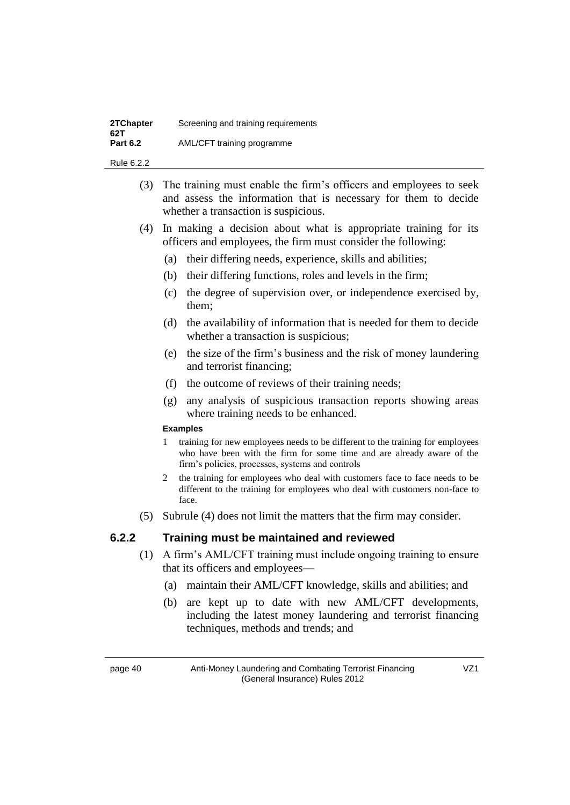| 2TChapter<br>62T | Screening and training requirements |
|------------------|-------------------------------------|
| <b>Part 6.2</b>  | AML/CFT training programme          |

Rule 6.2.2

- (3) The training must enable the firm's officers and employees to seek and assess the information that is necessary for them to decide whether a transaction is suspicious.
- (4) In making a decision about what is appropriate training for its officers and employees, the firm must consider the following:
	- (a) their differing needs, experience, skills and abilities;
	- (b) their differing functions, roles and levels in the firm;
	- (c) the degree of supervision over, or independence exercised by, them;
	- (d) the availability of information that is needed for them to decide whether a transaction is suspicious;
	- (e) the size of the firm's business and the risk of money laundering and terrorist financing;
	- (f) the outcome of reviews of their training needs;
	- (g) any analysis of suspicious transaction reports showing areas where training needs to be enhanced.

#### **Examples**

- 1 training for new employees needs to be different to the training for employees who have been with the firm for some time and are already aware of the firm's policies, processes, systems and controls
- 2 the training for employees who deal with customers face to face needs to be different to the training for employees who deal with customers non-face to face.
- (5) Subrule (4) does not limit the matters that the firm may consider.

#### **6.2.2 Training must be maintained and reviewed**

- (1) A firm's AML/CFT training must include ongoing training to ensure that its officers and employees—
	- (a) maintain their AML/CFT knowledge, skills and abilities; and
	- (b) are kept up to date with new AML/CFT developments, including the latest money laundering and terrorist financing techniques, methods and trends; and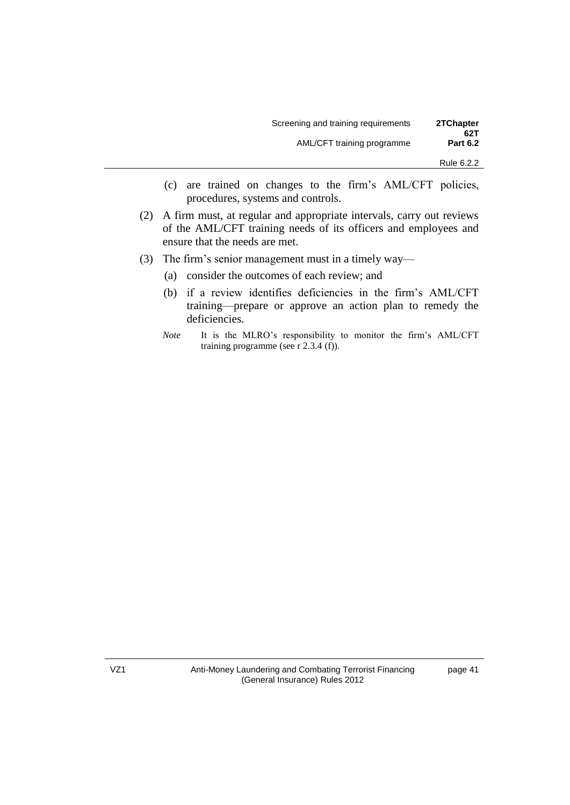| 2TChapter<br>62T | Screening and training requirements |  |
|------------------|-------------------------------------|--|
| <b>Part 6.2</b>  | AML/CFT training programme          |  |
| Rule 6.2.2       |                                     |  |

- (c) are trained on changes to the firm's AML/CFT policies, procedures, systems and controls.
- (2) A firm must, at regular and appropriate intervals, carry out reviews of the AML/CFT training needs of its officers and employees and ensure that the needs are met.
- (3) The firm's senior management must in a timely way—
	- (a) consider the outcomes of each review; and
	- (b) if a review identifies deficiencies in the firm's AML/CFT training—prepare or approve an action plan to remedy the deficiencies.
	- *Note* It is the MLRO's responsibility to monitor the firm's AML/CFT training programme (see r 2.3.4 (f)).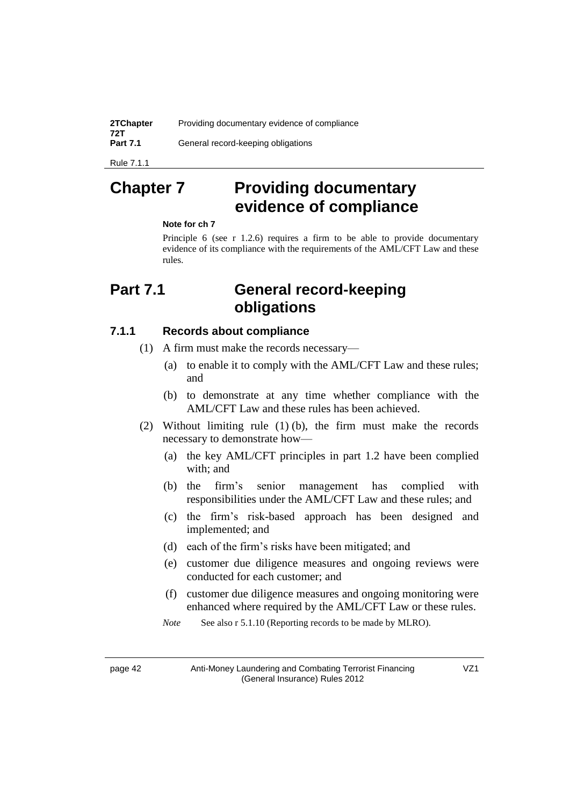| 2TChapter<br>72T | Providing documentary evidence of compliance |
|------------------|----------------------------------------------|
| <b>Part 7.1</b>  | General record-keeping obligations           |

Rule 7.1.1

# **2Thapter 7** 2The Providing documentary **evidence of compliance**

#### **Note for ch 7**

Principle 6 (see r 1.2.6) requires a firm to be able to provide documentary evidence of its compliance with the requirements of the AML/CFT Law and these rules.

# **Part 7.1 General record-keeping obligations**

#### **7.1.1 Records about compliance**

- (1) A firm must make the records necessary—
	- (a) to enable it to comply with the AML/CFT Law and these rules; and
	- (b) to demonstrate at any time whether compliance with the AML/CFT Law and these rules has been achieved.
- (2) Without limiting rule (1) (b), the firm must make the records necessary to demonstrate how—
	- (a) the key AML/CFT principles in part 1.2 have been complied with; and
	- (b) the firm's senior management has complied with responsibilities under the AML/CFT Law and these rules; and
	- (c) the firm's risk-based approach has been designed and implemented; and
	- (d) each of the firm's risks have been mitigated; and
	- (e) customer due diligence measures and ongoing reviews were conducted for each customer; and
	- (f) customer due diligence measures and ongoing monitoring were enhanced where required by the AML/CFT Law or these rules.
	- *Note* See also r 5.1.10 (Reporting records to be made by MLRO).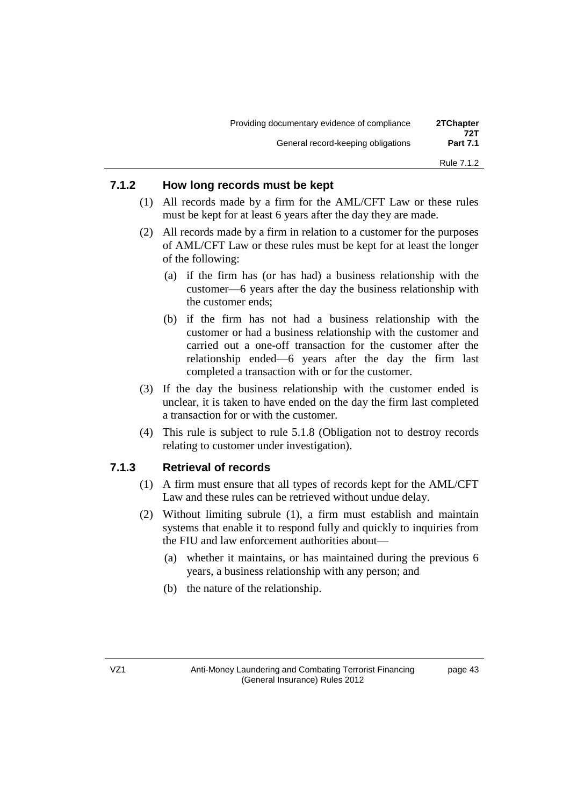| 2TChapter<br>72T | Providing documentary evidence of compliance |
|------------------|----------------------------------------------|
| <b>Part 7.1</b>  | General record-keeping obligations           |
| Rule 7.1.2       |                                              |

#### **7.1.2 How long records must be kept**

- (1) All records made by a firm for the AML/CFT Law or these rules must be kept for at least 6 years after the day they are made.
- (2) All records made by a firm in relation to a customer for the purposes of AML/CFT Law or these rules must be kept for at least the longer of the following:
	- (a) if the firm has (or has had) a business relationship with the customer—6 years after the day the business relationship with the customer ends;
	- (b) if the firm has not had a business relationship with the customer or had a business relationship with the customer and carried out a one-off transaction for the customer after the relationship ended—6 years after the day the firm last completed a transaction with or for the customer.
- (3) If the day the business relationship with the customer ended is unclear, it is taken to have ended on the day the firm last completed a transaction for or with the customer.
- (4) This rule is subject to rule 5.1.8 (Obligation not to destroy records relating to customer under investigation).

#### **7.1.3 Retrieval of records**

- (1) A firm must ensure that all types of records kept for the AML/CFT Law and these rules can be retrieved without undue delay.
- (2) Without limiting subrule (1), a firm must establish and maintain systems that enable it to respond fully and quickly to inquiries from the FIU and law enforcement authorities about—
	- (a) whether it maintains, or has maintained during the previous 6 years, a business relationship with any person; and
	- (b) the nature of the relationship.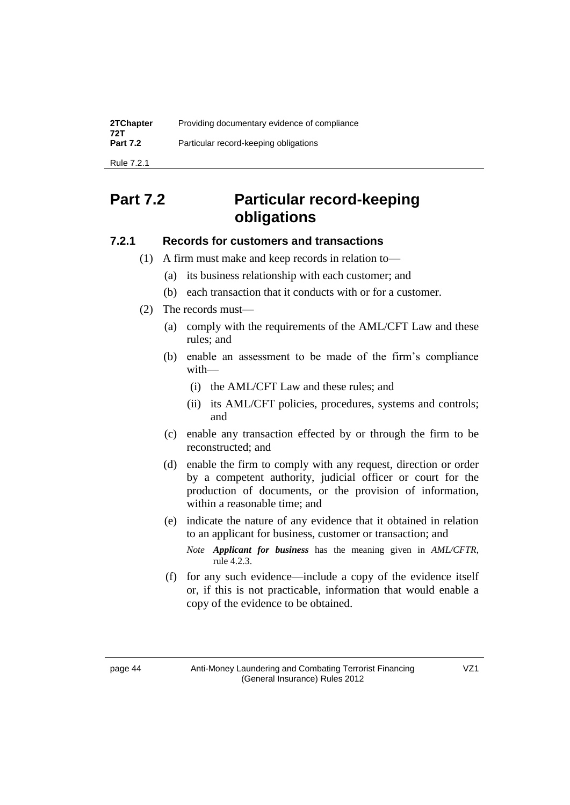| 2TChapter<br>72T | Providing documentary evidence of compliance |
|------------------|----------------------------------------------|
| <b>Part 7.2</b>  | Particular record-keeping obligations        |
| Rule 7.2.1       |                                              |

# **Part 7.2 Particular record-keeping obligations**

#### **7.2.1 Records for customers and transactions**

- (1) A firm must make and keep records in relation to—
	- (a) its business relationship with each customer; and
	- (b) each transaction that it conducts with or for a customer.
- (2) The records must—
	- (a) comply with the requirements of the AML/CFT Law and these rules; and
	- (b) enable an assessment to be made of the firm's compliance with—
		- (i) the AML/CFT Law and these rules; and
		- (ii) its AML/CFT policies, procedures, systems and controls; and
	- (c) enable any transaction effected by or through the firm to be reconstructed; and
	- (d) enable the firm to comply with any request, direction or order by a competent authority, judicial officer or court for the production of documents, or the provision of information, within a reasonable time; and
	- (e) indicate the nature of any evidence that it obtained in relation to an applicant for business, customer or transaction; and
		- *Note Applicant for business* has the meaning given in *AML/CFTR*, rule 4.2.3.
	- (f) for any such evidence—include a copy of the evidence itself or, if this is not practicable, information that would enable a copy of the evidence to be obtained.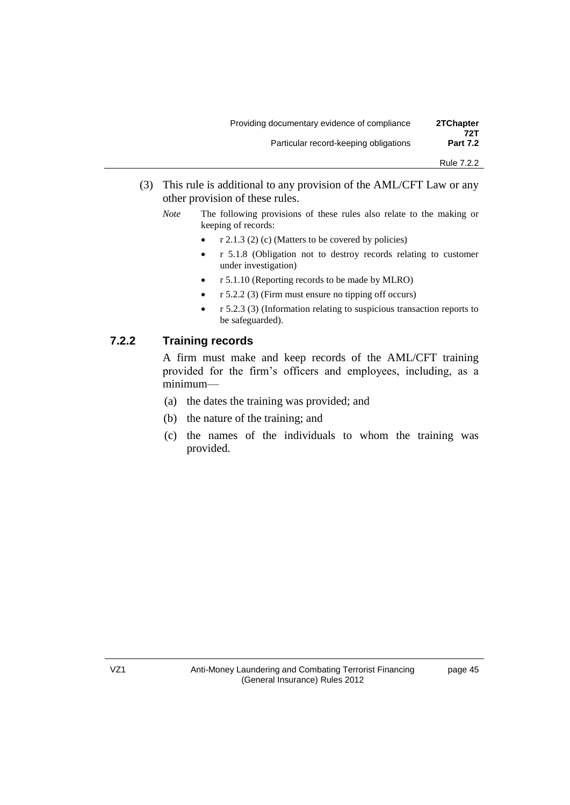| 2TChapter<br>72T | Providing documentary evidence of compliance |
|------------------|----------------------------------------------|
| <b>Part 7.2</b>  | Particular record-keeping obligations        |

- (3) This rule is additional to any provision of the AML/CFT Law or any other provision of these rules.
	- *Note* The following provisions of these rules also relate to the making or keeping of records:
		- $r$  2.1.3 (2) (c) (Matters to be covered by policies)
		- r 5.1.8 (Obligation not to destroy records relating to customer under investigation)
		- r 5.1.10 (Reporting records to be made by MLRO)
		- r 5.2.2 (3) (Firm must ensure no tipping off occurs)
		- r 5.2.3 (3) (Information relating to suspicious transaction reports to be safeguarded).

### **7.2.2 Training records**

A firm must make and keep records of the AML/CFT training provided for the firm's officers and employees, including, as a minimum—

- (a) the dates the training was provided; and
- (b) the nature of the training; and
- (c) the names of the individuals to whom the training was provided.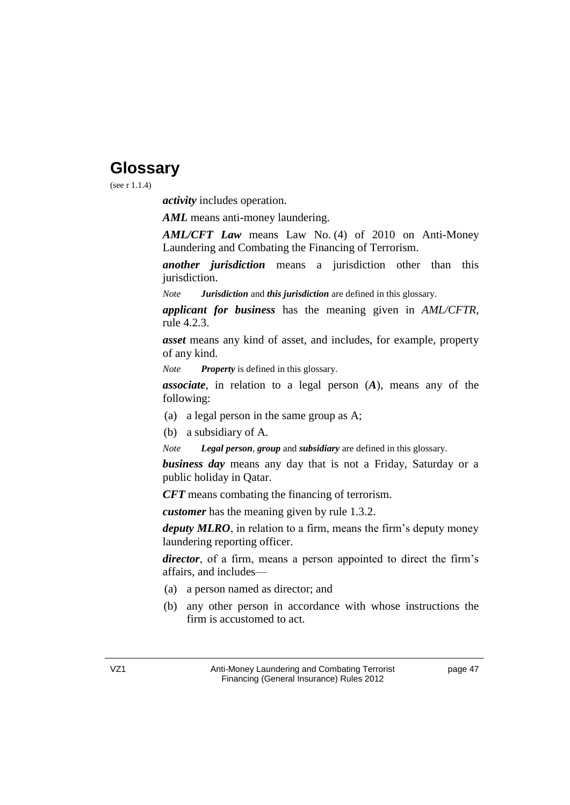# **Glossary**

(see r 1.1.4)

*activity* includes operation.

*AML* means anti-money laundering.

*AML/CFT Law* means Law No. (4) of 2010 on Anti-Money Laundering and Combating the Financing of Terrorism.

*another jurisdiction* means a jurisdiction other than this jurisdiction.

*Note Jurisdiction* and *this jurisdiction* are defined in this glossary.

*applicant for business* has the meaning given in *AML/CFTR*, rule 4.2.3.

*asset* means any kind of asset, and includes, for example, property of any kind.

*Note Property* is defined in this glossary.

*associate*, in relation to a legal person (*A*), means any of the following:

- (a) a legal person in the same group as A;
- (b) a subsidiary of A.
- *Note Legal person, group* and *subsidiary* are defined in this glossary.

*business day* means any day that is not a Friday, Saturday or a public holiday in Qatar.

*CFT* means combating the financing of terrorism.

*customer* has the meaning given by rule 1.3.2.

*deputy MLRO*, in relation to a firm, means the firm's deputy money laundering reporting officer.

*director*, of a firm, means a person appointed to direct the firm's affairs, and includes—

- (a) a person named as director; and
- (b) any other person in accordance with whose instructions the firm is accustomed to act.

page 47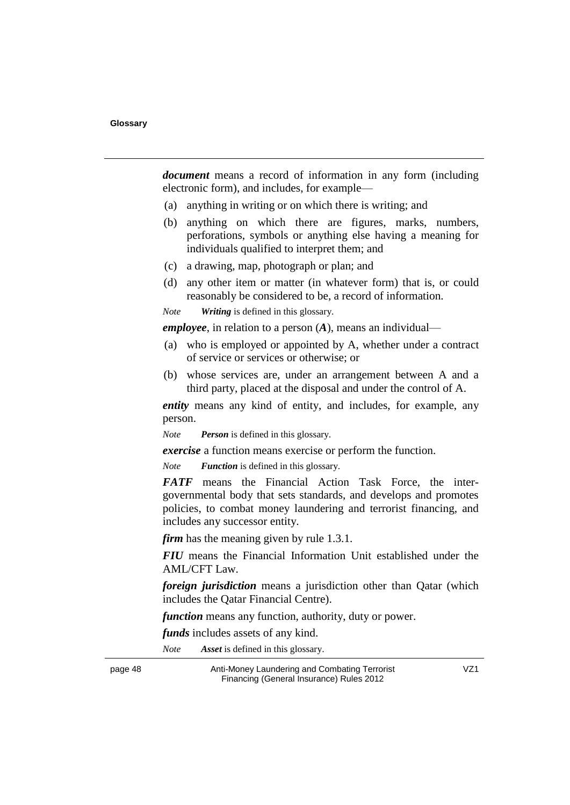*document* means a record of information in any form (including electronic form), and includes, for example—

- (a) anything in writing or on which there is writing; and
- (b) anything on which there are figures, marks, numbers, perforations, symbols or anything else having a meaning for individuals qualified to interpret them; and
- (c) a drawing, map, photograph or plan; and
- (d) any other item or matter (in whatever form) that is, or could reasonably be considered to be, a record of information.
- *Note Writing* is defined in this glossary.

*employee*, in relation to a person  $(A)$ , means an individual—

- (a) who is employed or appointed by A, whether under a contract of service or services or otherwise; or
- (b) whose services are, under an arrangement between A and a third party, placed at the disposal and under the control of A.

*entity* means any kind of entity, and includes, for example, any person.

*Note Person* is defined in this glossary.

*exercise* a function means exercise or perform the function.

*Note Function* is defined in this glossary.

**FATF** means the Financial Action Task Force, the intergovernmental body that sets standards, and develops and promotes policies, to combat money laundering and terrorist financing, and includes any successor entity.

*firm* has the meaning given by rule  $1.3.1$ .

*FIU* means the Financial Information Unit established under the AML/CFT Law.

*foreign jurisdiction* means a jurisdiction other than Qatar (which includes the Qatar Financial Centre).

*function* means any function, authority, duty or power.

*funds* includes assets of any kind.

*Note Asset* is defined in this glossary.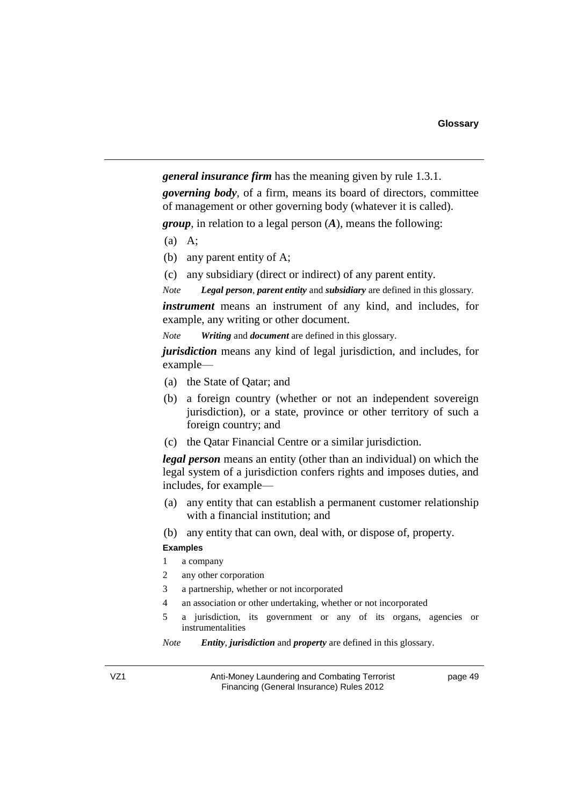*general insurance firm* has the meaning given by rule 1.3.1. *zoverning body*, of a firm, means its board of directors, committee of management or other governing body (whatever it is called).

*group*, in relation to a legal person (*A*), means the following:

- (a) A;
- (b) any parent entity of A;
- (c) any subsidiary (direct or indirect) of any parent entity.

*Note Legal person, parent entity* and *subsidiary* are defined in this glossary.

*instrument* means an instrument of any kind, and includes, for example, any writing or other document.

*Note Vriting and document are defined in this glossary.* 

*iurisdiction* means any kind of legal jurisdiction, and includes, for example—

- (a) the State of Qatar; and
- (b) a foreign country (whether or not an independent sovereign jurisdiction), or a state, province or other territory of such a foreign country; and
- (c) the Qatar Financial Centre or a similar jurisdiction.

*legal person* means an entity (other than an individual) on which the legal system of a jurisdiction confers rights and imposes duties, and includes, for example—

- (a) any entity that can establish a permanent customer relationship with a financial institution; and
- (b) any entity that can own, deal with, or dispose of, property.

#### **Examples**

- 1 a company
- 2 any other corporation
- 3 a partnership, whether or not incorporated
- 4 an association or other undertaking, whether or not incorporated
- 5 a jurisdiction, its government or any of its organs, agencies or instrumentalities

*Note Litty, jurisdiction* and *property* are defined in this glossary.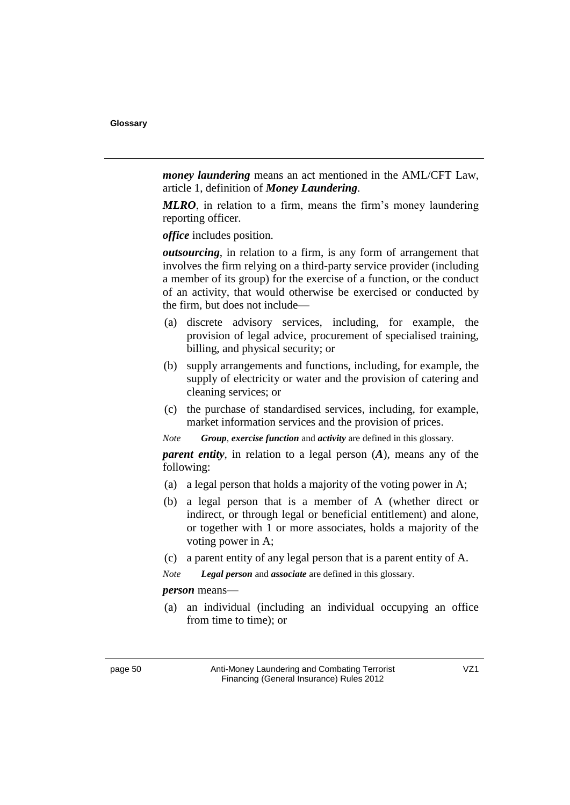*noney laundering* means an act mentioned in the AML/CFT Law, article 1, definition of *Money Laundering*.

*MLRO*, in relation to a firm, means the firm's money laundering reporting officer.

*office* includes position.

*outsourcing*, in relation to a firm, is any form of arrangement that involves the firm relying on a third-party service provider (including a member of its group) for the exercise of a function, or the conduct of an activity, that would otherwise be exercised or conducted by the firm, but does not include—

- (a) discrete advisory services, including, for example, the provision of legal advice, procurement of specialised training, billing, and physical security; or
- (b) supply arrangements and functions, including, for example, the supply of electricity or water and the provision of catering and cleaning services; or
- (c) the purchase of standardised services, including, for example, market information services and the provision of prices.

*Note Group, exercise function and activity are defined in this glossary.* 

*parent entity*, in relation to a legal person  $(A)$ , means any of the following:

- (a) a legal person that holds a majority of the voting power in A;
- (b) a legal person that is a member of A (whether direct or indirect, or through legal or beneficial entitlement) and alone, or together with 1 or more associates, holds a majority of the voting power in A;
- (c) a parent entity of any legal person that is a parent entity of A.

*Note Legal person* and *associate* are defined in this glossary.

#### *person* means-

(a) an individual (including an individual occupying an office from time to time); or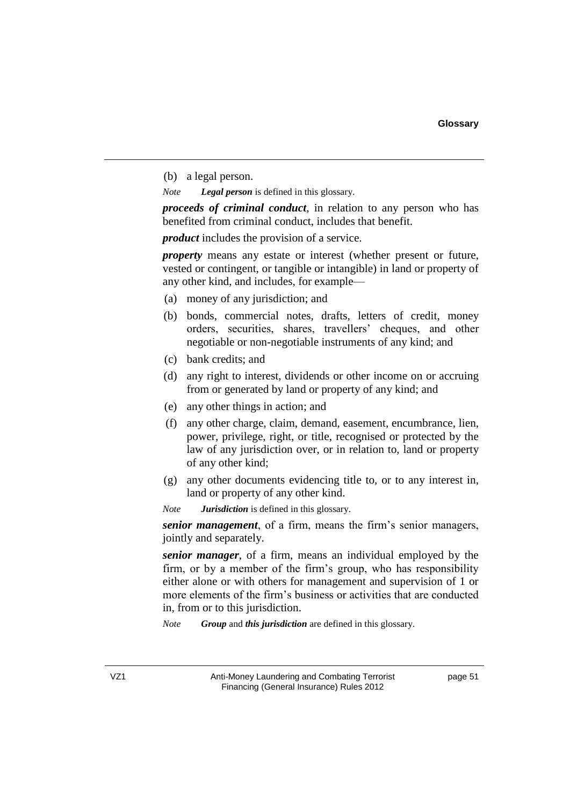(b) a legal person.

*Note Legal person* is defined in this glossary.

*proceeds of criminal conduct*, in relation to any person who has benefited from criminal conduct, includes that benefit.

*product* includes the provision of a service.

*property* means any estate or interest (whether present or future, vested or contingent, or tangible or intangible) in land or property of any other kind, and includes, for example—

- (a) money of any jurisdiction; and
- (b) bonds, commercial notes, drafts, letters of credit, money orders, securities, shares, travellers' cheques, and other negotiable or non-negotiable instruments of any kind; and
- (c) bank credits; and
- (d) any right to interest, dividends or other income on or accruing from or generated by land or property of any kind; and
- (e) any other things in action; and
- (f) any other charge, claim, demand, easement, encumbrance, lien, power, privilege, right, or title, recognised or protected by the law of any jurisdiction over, or in relation to, land or property of any other kind;
- (g) any other documents evidencing title to, or to any interest in, land or property of any other kind.

*Note Jurisdiction* is defined in this glossary.

*senior management*, of a firm, means the firm's senior managers, jointly and separately.

*senior manager*, of a firm, means an individual employed by the firm, or by a member of the firm's group, who has responsibility either alone or with others for management and supervision of 1 or more elements of the firm's business or activities that are conducted in, from or to this jurisdiction.

*Note Group* and *this jurisdiction* are defined in this glossary.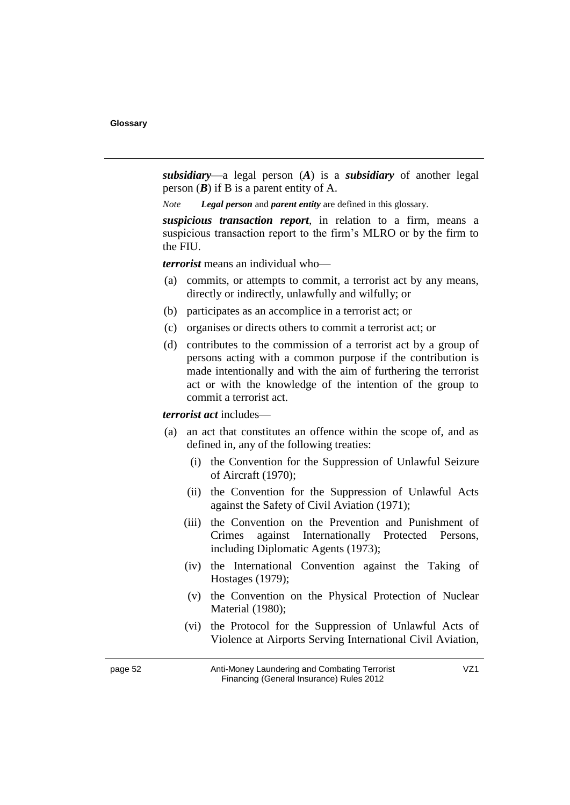*<u><i>subsidiary*—a legal person (*A*) is a *subsidiary* of another legal</u> person  $(B)$  if B is a parent entity of A.

*Note Legal person* and *parent entity* are defined in this glossary.

*suspicious transaction report*, in relation to a firm, means a suspicious transaction report to the firm's MLRO or by the firm to the FIU.

*<i>terrorist* means an individual who—

- (a) commits, or attempts to commit, a terrorist act by any means, directly or indirectly, unlawfully and wilfully; or
- (b) participates as an accomplice in a terrorist act; or
- (c) organises or directs others to commit a terrorist act; or
- (d) contributes to the commission of a terrorist act by a group of persons acting with a common purpose if the contribution is made intentionally and with the aim of furthering the terrorist act or with the knowledge of the intention of the group to commit a terrorist act.

*<i>terrorist act* includes—

- (a) an act that constitutes an offence within the scope of, and as defined in, any of the following treaties:
	- (i) the Convention for the Suppression of Unlawful Seizure of Aircraft (1970);
	- (ii) the Convention for the Suppression of Unlawful Acts against the Safety of Civil Aviation (1971);
	- (iii) the Convention on the Prevention and Punishment of Crimes against Internationally Protected Persons, including Diplomatic Agents (1973);
	- (iv) the International Convention against the Taking of Hostages (1979);
	- (v) the Convention on the Physical Protection of Nuclear Material (1980);
	- (vi) the Protocol for the Suppression of Unlawful Acts of Violence at Airports Serving International Civil Aviation,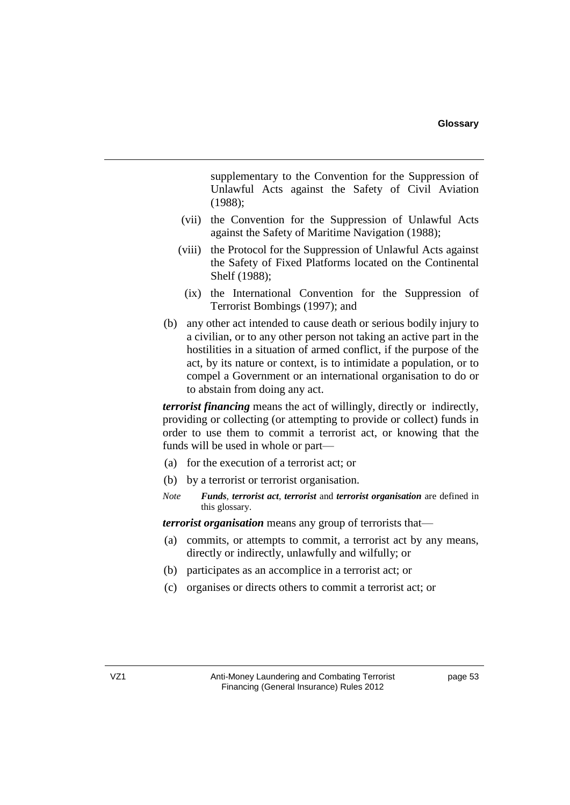supplementary to the Convention for the Suppression of Unlawful Acts against the Safety of Civil Aviation (1988);

- (vii) the Convention for the Suppression of Unlawful Acts against the Safety of Maritime Navigation (1988);
- (viii) the Protocol for the Suppression of Unlawful Acts against the Safety of Fixed Platforms located on the Continental Shelf (1988);
	- (ix) the International Convention for the Suppression of Terrorist Bombings (1997); and
- (b) any other act intended to cause death or serious bodily injury to a civilian, or to any other person not taking an active part in the hostilities in a situation of armed conflict, if the purpose of the act, by its nature or context, is to intimidate a population, or to compel a Government or an international organisation to do or to abstain from doing any act.

*<i>terrorist financing* means the act of willingly, directly or indirectly, providing or collecting (or attempting to provide or collect) funds in order to use them to commit a terrorist act, or knowing that the funds will be used in whole or part—

- (a) for the execution of a terrorist act; or
- (b) by a terrorist or terrorist organisation.
- *Note <i>Funds*, *terrorist act*, *terrorist* and *terrorist organisation* are defined in this glossary.

*<i>1***terrorist organisation** means any group of terrorists that—

- (a) commits, or attempts to commit, a terrorist act by any means, directly or indirectly, unlawfully and wilfully; or
- (b) participates as an accomplice in a terrorist act; or
- (c) organises or directs others to commit a terrorist act; or